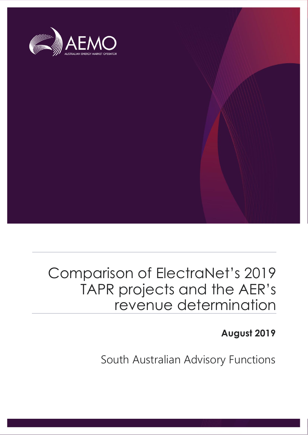

# Comparison of ElectraNet's 2019 TAPR projects and the AER's revenue determination

# **August 2019**

South Australian Advisory Functions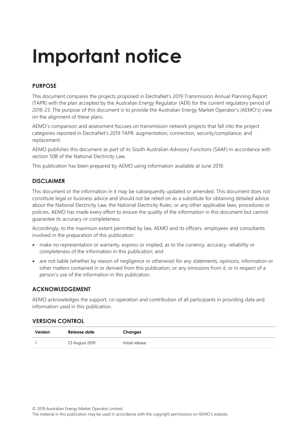# **Important notice**

#### **PURPOSE**

This document compares the projects proposed in ElectraNet's 2019 Transmission Annual Planning Report (TAPR) with the plan accepted by the Australian Energy Regulator (AER) for the current regulatory period of 2018-23. The purpose of this document is to provide the Australian Energy Market Operator's (AEMO's) view on the alignment of these plans.

AEMO's comparison and assessment focuses on transmission network projects that fall into the project categories reported in ElectraNet's 2019 TAPR: augmentation, connection, security/compliance, and replacement.

AEMO publishes this document as part of its South Australian Advisory Functions (SAAF) in accordance with section 50B of the National Electricity Law.

This publication has been prepared by AEMO using information available at June 2019.

#### **DISCLAIMER**

This document or the information in it may be subsequently updated or amended. This document does not constitute legal or business advice and should not be relied on as a substitute for obtaining detailed advice about the National Electricity Law, the National Electricity Rules, or any other applicable laws, procedures or policies. AEMO has made every effort to ensure the quality of the information in this document but cannot guarantee its accuracy or completeness.

Accordingly, to the maximum extent permitted by law, AEMO and its officers, employees and consultants involved in the preparation of this publication:

- make no representation or warranty, express or implied, as to the currency, accuracy, reliability or completeness of the information in this publication; and
- are not liable (whether by reason of negligence or otherwise) for any statements, opinions, information or other matters contained in or derived from this publication, or any omissions from it, or in respect of a person's use of the information in this publication.

#### **ACKNOWLEDGEMENT**

AEMO acknowledges the support, co-operation and contribution of all participants in providing data and information used in this publication.

#### **VERSION CONTROL**

| Version | Release date   | Changes         |
|---------|----------------|-----------------|
|         | 23 August 2019 | Initial release |

The material in this publication may be used in accordance with the [copyright permissions on AEMO's website](http://aemo.com.au/Privacy_and_Legal_Notices/Copyright_Permissions_Notice).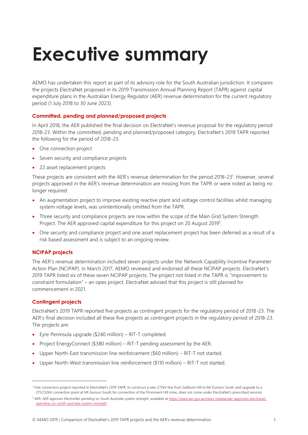# <span id="page-2-0"></span>**Executive summary**

AEMO has undertaken this report as part of its advisory role for the South Australian jurisdiction. It compares the projects ElectraNet proposed in its 2019 Transmission Annual Planning Report (TAPR) against capital expenditure plans in the Australian Energy Regulator (AER) revenue determination for the current regulatory period (1 July 2018 to 30 June 2023).

#### **Committed, pending and planned/proposed projects**

In April 2018, the AER published the final decision on ElectraNet's revenue proposal for the regulatory period 2018-23. Within the committed, pending and planned/proposed category, ElectraNet's 2019 TAPR reported the following for the period of 2018-23:

- One connection project
- Seven security and compliance projects
- 22 asset replacement projects

These projects are consistent with the AER's revenue determination for the period 2018-23 1 . However, several projects approved in the AER's revenue determination are missing from the TAPR or were noted as being no longer required:

- An augmentation project to improve existing reactive plant and voltage control facilities whilst managing system voltage levels, was unintentionally omitted from the TAPR.
- Three security and compliance projects are now within the scope of the Main Grid System Strength Project. The AER approved capital expenditure for this project on 20 August 2019<sup>2</sup>.
- One security and compliance project and one asset replacement project has been deferred as a result of a risk based assessment and is subject to an ongoing review.

#### **NCIPAP projects**

The AER's revenue determination included seven projects under the Network Capability Incentive Parameter Action Plan (NCIPAP). In March 2017, AEMO reviewed and endorsed all these NCIPAP projects. ElectraNet's 2019 TAPR listed six of these seven NCIPAP projects. The project not listed in the TAPR is "improvement to constraint formulation" – an opex project. ElectraNet advised that this project is still planned for commencement in 2021.

#### **Contingent projects**

 $\overline{a}$ 

ElectraNet's 2019 TAPR reported five projects as contingent projects for the regulatory period of 2018-23. The AER's final decision included all these five projects as contingent projects in the regulatory period of 2018-23. The projects are:

- Eyre Peninsula upgrade (\$240 million) RIT-T completed.
- Project EnergyConnect (\$380 million) RIT-T pending assessment by the AER.
- Upper North-East transmission line reinforcement (\$60 million) RIT-T not started.
- Upper North-West transmission line reinforcement (\$110 million) RIT-T not started.

<sup>&</sup>lt;sup>1</sup> One connection project reported in ElectraNet's 2019 TAPR, to construct a new 275kV line from Saltbush Hill to Mt Gunson South and upgrade to a 275/132kV connection point at Mt Gunson South for connection of the Prominent Hill mine, does not come under ElectraNet's prescribed services.

<sup>&</sup>lt;sup>2</sup> AER. AER approves ElectraNet spending on South Australia system strength, available at [https://www.aer.gov.au/news-release/aer-approves-electranet](https://www.aer.gov.au/news-release/aer-approves-electranet-spending-on-south-australia-system-strength)[spending-on-south-australia-system-strength.](https://www.aer.gov.au/news-release/aer-approves-electranet-spending-on-south-australia-system-strength)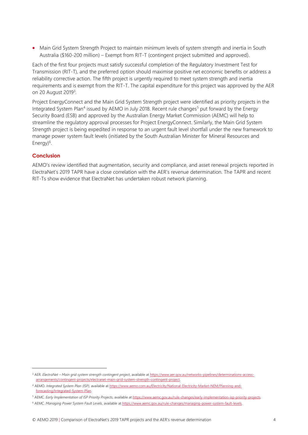• Main Grid System Strength Project to maintain minimum levels of system strength and inertia in South Australia (\$160-200 million) – Exempt from RIT-T (contingent project submitted and approved).

Each of the first four projects must satisfy successful completion of the Regulatory Investment Test for Transmission (RIT-T), and the preferred option should maximise positive net economic benefits or address a reliability corrective action. The fifth project is urgently required to meet system strength and inertia requirements and is exempt from the RIT-T. The capital expenditure for this project was approved by the AER on 20 August 2019<sup>3</sup>.

Project EnergyConnect and the Main Grid System Strength project were identified as priority projects in the Integrated System Plan<sup>4</sup> issued by AEMO in July 2018. Recent rule changes<sup>5</sup> put forward by the Energy Security Board (ESB) and approved by the Australian Energy Market Commission (AEMC) will help to streamline the regulatory approval processes for Project EnergyConnect. Similarly, the Main Grid System Strength project is being expedited in response to an urgent fault level shortfall under the new framework to manage power system fault levels (initiated by the South Australian Minister for Mineral Resources and Energy)<sup>6</sup>.

#### **Conclusion**

 $\overline{a}$ 

AEMO's review identified that augmentation, security and compliance, and asset renewal projects reported in ElectraNet's 2019 TAPR have a close correlation with the AER's revenue determination. The TAPR and recent RIT-Ts show evidence that ElectraNet has undertaken robust network planning.

<sup>3</sup> AER. *ElectraNet – Main grid system strength contingent project*, available a[t https://www.aer.gov.au/networks-pipelines/determinations-access](https://www.aer.gov.au/networks-pipelines/determinations-access-arrangements/contingent-projects/electranet-main-grid-system-strength-contingent-project)[arrangements/contingent-projects/electranet-main-grid-system-strength-contingent-project.](https://www.aer.gov.au/networks-pipelines/determinations-access-arrangements/contingent-projects/electranet-main-grid-system-strength-contingent-project) 

<sup>4</sup> AEMO. *Integrated System Plan (ISP)*, available at [https://www.aemo.com.au/Electricity/National-Electricity-Market-NEM/Planning-and](https://www.aemo.com.au/Electricity/National-Electricity-Market-NEM/Planning-and-forecasting/Integrated-System-Plan)[forecasting/Integrated-System-Plan.](https://www.aemo.com.au/Electricity/National-Electricity-Market-NEM/Planning-and-forecasting/Integrated-System-Plan) 

<sup>5</sup> AEMC. *Early Implementation of ISP Priority Projects*, available at [https://www.aemc.gov.au/rule-changes/early-implementation-isp-priority-projects.](https://www.aemc.gov.au/rule-changes/early-implementation-isp-priority-projects)

<sup>6</sup> AEMC. *Managing Power System Fault Levels*, available a[t https://www.aemc.gov.au/rule-changes/managing-power-system-fault-levels.](https://www.aemc.gov.au/rule-changes/managing-power-system-fault-levels)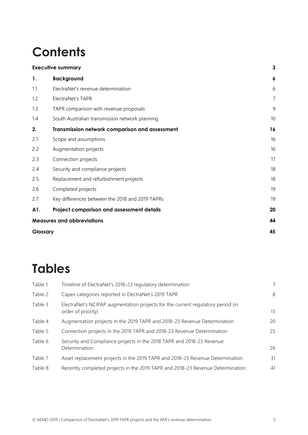# **Contents**

|          | <b>Executive summary</b>                        |    |  |  |
|----------|-------------------------------------------------|----|--|--|
| 1.       | <b>Background</b>                               | 6  |  |  |
| 1.1      | ElectraNet's revenue determination              | 6  |  |  |
| 1.2      | ElectraNet's TAPR                               | 7  |  |  |
| 1.3      | TAPR comparison with revenue proposals          | 9  |  |  |
| 1.4      | South Australian transmission network planning  | 10 |  |  |
| 2.       | Transmission network comparison and assessment  | 16 |  |  |
| 2.1      | Scope and assumptions                           | 16 |  |  |
| 2.2      | Augmentation projects                           | 16 |  |  |
| 2.3      | Connection projects                             | 17 |  |  |
| 2.4      | Security and compliance projects                | 18 |  |  |
| 2.5      | Replacement and refurbishment projects          | 18 |  |  |
| 2.6      | Completed projects                              | 19 |  |  |
| 2.7      | Key differences between the 2018 and 2019 TAPRs | 19 |  |  |
| A1.      | Project comparison and assessment details       | 20 |  |  |
|          | <b>Measures and abbreviations</b>               | 44 |  |  |
| Glossary |                                                 | 45 |  |  |

# **Tables**

| Table 1 | Timeline of ElectraNet's 2018-23 regulatory determination                                             | 7  |
|---------|-------------------------------------------------------------------------------------------------------|----|
| Table 2 | Capex categories reported in ElectraNet's 2019 TAPR                                                   | 8  |
| Table 3 | ElectraNet's NCIPAP augmentation projects for the current regulatory period (in<br>order of priority) | 13 |
| Table 4 | Augmentation projects in the 2019 TAPR and 2018-23 Revenue Determination                              | 20 |
| Table 5 | Connection projects in the 2019 TAPR and 2018-23 Revenue Determination                                | 25 |
| Table 6 | Security and Compliance projects in the 2018 TAPR and 2018-23 Revenue<br>Determination                | 26 |
| Table 7 | Asset replacement projects in the 2019 TAPR and 2018-23 Revenue Determination                         | 31 |
| Table 8 | Recently completed projects in the 2019 TAPR and 2018-23 Revenue Determination                        | 41 |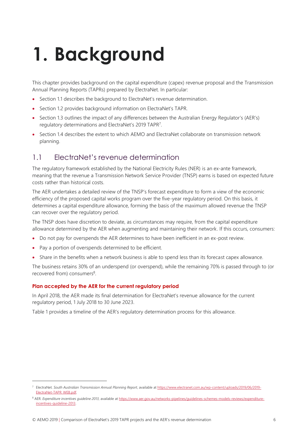# <span id="page-5-0"></span>**1. Background**

This chapter provides background on the capital expenditure (capex) revenue proposal and the Transmission Annual Planning Reports (TAPRs) prepared by ElectraNet. In particular:

- Sectio[n 1.1](#page-5-1) describes the background to ElectraNet's revenue determination.
- Sectio[n 1.2](#page-6-0) provides background information on ElectraNet's TAPR.
- Sectio[n 1.3](#page-8-0) outlines the impact of any differences between the Australian Energy Regulator's (AER's) regulatory determinations and ElectraNet's 2019 TAPR<sup>7</sup>.
- Sectio[n 1.4](#page-9-0) describes the extent to which AEMO and ElectraNet collaborate on transmission network planning.

### <span id="page-5-1"></span>1.1 ElectraNet's revenue determination

The regulatory framework established by the National Electricity Rules (NER) is an ex-ante framework, meaning that the revenue a Transmission Network Service Provider (TNSP) earns is based on expected future costs rather than historical costs.

The AER undertakes a detailed review of the TNSP's forecast expenditure to form a view of the economic efficiency of the proposed capital works program over the five-year regulatory period. On this basis, it determines a capital expenditure allowance, forming the basis of the maximum allowed revenue the TNSP can recover over the regulatory period.

The TNSP does have discretion to deviate, as circumstances may require, from the capital expenditure allowance determined by the AER when augmenting and maintaining their network. If this occurs, consumers:

- Do not pay for overspends the AER determines to have been inefficient in an ex-post review.
- Pay a portion of overspends determined to be efficient.

 $\overline{a}$ 

• Share in the benefits when a network business is able to spend less than its forecast capex allowance.

The business retains 30% of an underspend (or overspend), while the remaining 70% is passed through to (or recovered from) consumers<sup>8</sup>.

#### **Plan accepted by the AER for the current regulatory period**

In April 2018, the AER made its final determination for ElectraNet's revenue allowance for the current regulatory period, 1 July 2018 to 30 June 2023.

[Table 1](#page-6-1) provides a timeline of the AER's regulatory determination process for this allowance.

<sup>7</sup> ElectraNet. *South Australian Transmission Annual Planning Report*, available at [https://www.electranet.com.au/wp-content/uploads/2019/06/2019-](https://www.electranet.com.au/wp-content/uploads/2019/06/2019-ElectraNet-TAPR_WEB.pdf) [ElectraNet-TAPR\\_WEB.pdf.](https://www.electranet.com.au/wp-content/uploads/2019/06/2019-ElectraNet-TAPR_WEB.pdf)

<sup>8</sup> AER. Expenditure incentives guideline 2013, available a[t https://www.aer.gov.au/networks-pipelines/guidelines-schemes-models-reviews/expenditure](https://www.aer.gov.au/networks-pipelines/guidelines-schemes-models-reviews/expenditure-incentives-guideline-2013)[incentives-guideline-2013.](https://www.aer.gov.au/networks-pipelines/guidelines-schemes-models-reviews/expenditure-incentives-guideline-2013)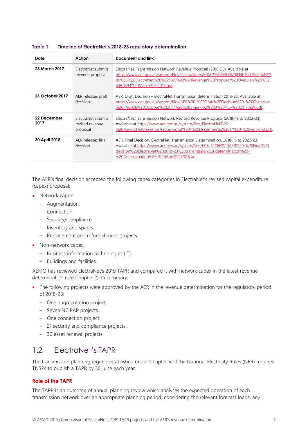| Date                | Action                                            | <b>Document and link</b>                                                                                                                                                                                                                                                              |
|---------------------|---------------------------------------------------|---------------------------------------------------------------------------------------------------------------------------------------------------------------------------------------------------------------------------------------------------------------------------------------|
| 28 March 2017       | ElectraNet submits<br>revenue proposal            | ElectraNet. Transmission Network Revenue Proposal (2018-23). Available at<br>https://www.aer.gov.au/system/files/ElectraNet%20%E2%80%93%20ENET002%20%E2%<br>80%93%20ElectraNet%20%E2%80%93%20Revenue%20Proposal%20Overview%20%E2<br>%80%93%20March%202017.pdf.                        |
| 26 October 2017     | AFR releases draft<br>decision                    | AER, Draft Decision – ElectraNet Transmission determination 2018-23. Available at<br>https://www.aer.gov.au/system/files/AER%20-%20Draft%20Decision%20-%20Overview<br>%20-%2026%20October%202017%20%28amended%203%20Nov%202017%29.pdf.                                                |
| 22 December<br>2017 | ElectraNet submits<br>revised revenue<br>proposal | ElectraNet. Transmission Network Revised Revenue Proposal (2018-19 to 2022-23).<br>Available at https://www.aer.gov.au/system/files/ElectraNet%20-<br>%20Revised%20revenue%20proposal%20-%20December%202017%20-%20version2.pdf.                                                       |
| 30 April 2018       | AER releases final<br>decision                    | AER. Final Decision, ElectraNet, Transmission Determination, 2018-19 to 2022-23.<br>Available at https://www.aer.gov.au/system/files/D18-32266%20AER%20-%20Final%20<br>decision%20ElectraNet%202018-23%20transmission%20determination%20-<br>%20Determination%20-%20April%202018.pdf. |

#### <span id="page-6-1"></span>**Table 1 Timeline of ElectraNet's 2018-23 regulatory determination**

The AER's final decision accepted the following capex categories in ElectraNet's revised capital expenditure (capex) proposal:

- Network capex:
	- Augmentation.
	- Connection.
	- Security/compliance.
	- Inventory and spares.
	- Replacement and refurbishment projects.
- Non-network capex:
	- Business information technologies (IT).
	- Buildings and facilities.

AEMO has reviewed ElectraNet's 2019 TAPR and compared it with network capex in the latest revenue determination (see Chapter 2). In summary:

- The following projects were approved by the AER in the revenue determination for the regulatory period of 2018-23:
	- One augmentation project.
	- Seven NCIPAP projects.
	- One connection project.
	- 21 security and compliance projects.
	- 30 asset renewal projects.

### <span id="page-6-0"></span>1.2 ElectraNet's TAPR

The transmission planning regime established under Chapter 5 of the National Electricity Rules (NER) requires TNSPs to publish a TAPR by 30 June each year.

#### **Role of the TAPR**

The TAPR is an outcome of annual planning review which analyses the expected operation of each transmission network over an appropriate planning period, considering the relevant forecast loads, any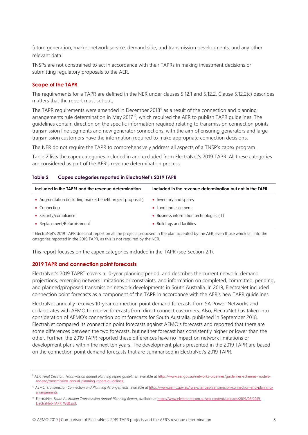future generation, market network service, demand side, and transmission developments, and any other relevant data.

TNSPs are not constrained to act in accordance with their TAPRs in making investment decisions or submitting regulatory proposals to the AER.

#### **Scope of the TAPR**

The requirements for a TAPR are defined in the NER under clauses 5.12.1 and 5.12.2. Clause 5.12.2(c) describes matters that the report must set out.

The TAPR requirements were amended in December 2018<sup>9</sup> as a result of the connection and planning arrangements rule determination in May 2017<sup>10</sup>, which required the AER to publish TAPR quidelines. The guidelines contain direction on the specific information required relating to transmission connection points, transmission line segments and new generator connections, with the aim of ensuring generators and large transmission customers have the information required to make appropriate connection decisions.

The NER do not require the TAPR to comprehensively address all aspects of a TNSP's capex program.

[Table 2](#page-7-0) lists the capex categories included in and excluded from ElectraNet's 2019 TAPR. All these categories are considered as part of the AER's revenue determination process.

<span id="page-7-0"></span>

| Table 2 |  | Capex categories reported in ElectraNet's 2019 TAPR |  |
|---------|--|-----------------------------------------------------|--|
|         |  |                                                     |  |

| Included in the TAPR <sup>†</sup> and the revenue determination | Included in the revenue determination but not in the TAPR |
|-----------------------------------------------------------------|-----------------------------------------------------------|
| • Augmentation (including market benefit project proposals)     | • Inventory and spares                                    |
| • Connection                                                    | • Land and easement                                       |
| • Security/compliance                                           | • Business information technologies (IT)                  |
| • Replacement/Refurbishment                                     | • Buildings and facilities                                |
|                                                                 |                                                           |

† ElectraNet's 2019 TAPR does not report on all the projects proposed in the plan accepted by the AER, even those which fall into the categories reported in the 2019 TAPR, as this is not required by the NER.

This report focuses on the capex categories included in the TAPR (see Section [2.1\)](#page-15-1).

#### **2019 TAPR and connection point forecasts**

 $\overline{a}$ 

ElectraNet's 2019 TAPR<sup>11</sup> covers a 10-year planning period, and describes the current network, demand projections, emerging network limitations or constraints, and information on completed, committed, pending, and planned/proposed transmission network developments in South Australia. In 2019, ElectraNet included connection point forecasts as a component of the TAPR in accordance with the AER's new TAPR guidelines.

ElectraNet annually receives 10-year connection point demand forecasts from SA Power Networks and collaborates with AEMO to receive forecasts from direct connect customers. Also, ElectraNet has taken into consideration of AEMO's connection point forecasts for South Australia, published in September 2018. ElectraNet compared its connection point forecasts against AEMO's forecasts and reported that there are some differences between the two forecasts, but neither forecast has consistently higher or lower than the other. Further, the 2019 TAPR reported these differences have no impact on network limitations or development plans within the next ten years. The development plans presented in the 2019 TAPR are based on the connection point demand forecasts that are summarised in ElectraNet's 2019 TAPR.

<sup>9</sup> AER. *Final Decision: Transmission annual planning report guidelines*, available a[t https://www.aer.gov.au/networks-pipelines/guidelines-schemes-models](https://www.aer.gov.au/networks-pipelines/guidelines-schemes-models-reviews/transmission-annual-planning-report-guidelines)[reviews/transmission-annual-planning-report-guidelines.](https://www.aer.gov.au/networks-pipelines/guidelines-schemes-models-reviews/transmission-annual-planning-report-guidelines)

<sup>&</sup>lt;sup>10</sup> AEMC. Transmission Connection and Planning Arrangements, available a[t https://www.aemc.gov.au/rule-changes/transmission-connection-and-planning](https://www.aemc.gov.au/rule-changes/transmission-connection-and-planning-arrangements)[arrangements.](https://www.aemc.gov.au/rule-changes/transmission-connection-and-planning-arrangements)

<sup>11</sup> ElectraNet. *South Australian Transmission Annual Planning Report*, available at [https://www.electranet.com.au/wp-content/uploads/2019/06/2019-](https://www.electranet.com.au/wp-content/uploads/2019/06/2019-ElectraNet-TAPR_WEB.pdf) [ElectraNet-TAPR\\_WEB.pdf.](https://www.electranet.com.au/wp-content/uploads/2019/06/2019-ElectraNet-TAPR_WEB.pdf)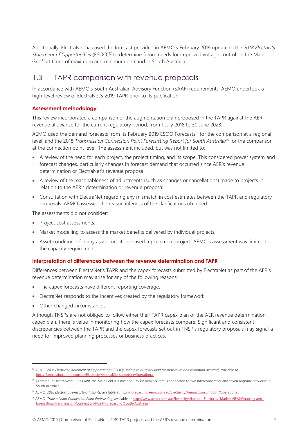Additionally, ElectraNet has used the forecast provided in AEMO's February 2019 update to the *2018 Electricity Statement of Opportunities* (ESOO) <sup>12</sup> to determine future needs for improved voltage control on the Main Grid<sup>13</sup> at times of maximum and minimum demand in South Australia.

### <span id="page-8-0"></span>1.3 TAPR comparison with revenue proposals

In accordance with AEMO's South Australian Advisory Function (SAAF) requirements, AEMO undertook a high-level review of ElectraNet's 2019 TAPR prior to its publication.

#### **Assessment methodology**

This review incorporated a comparison of the augmentation plan proposed in the TAPR against the AER revenue allowance for the current regulatory period, from 1 July 2018 to 30 June 2023.

AEMO used the demand forecasts from its February 2019 ESOO Forecasts<sup>14</sup> for the comparison at a regional level, and the 2018 *Transmission Connection Point Forecasting Report for South Australia*<sup>15</sup> for the comparison at the connection point level. The assessment included, but was not limited to:

- A review of the need for each project, the project timing, and its scope. This considered power system and forecast changes, particularly changes in forecast demand that occurred since AER's revenue determination or ElectraNet's revenue proposal.
- A review of the reasonableness of adjustments (such as changes or cancellations) made to projects in relation to the AER's determination or revenue proposal.
- Consultation with ElectraNet regarding any mismatch in cost estimates between the TAPR and regulatory proposals. AEMO assessed the reasonableness of the clarifications obtained.

The assessments did not consider:

- Project cost assessments.
- Market modelling to assess the market benefits delivered by individual projects.
- Asset condition for any asset condition-based replacement project, AEMO's assessment was limited to the capacity requirement.

#### **Interpretation of differences between the revenue determination and TAPR**

Differences between ElectraNet's TAPR and the capex forecasts submitted by ElectraNet as part of the AER's revenue determination may arise for any of the following reasons:

- The capex forecasts have different reporting coverage.
- ElectraNet responds to the incentives created by the regulatory framework.
- Other changed circumstances.

 $\overline{a}$ 

Although TNSPs are not obliged to follow either their TAPR capex plan or the AER revenue determination capex plan, there is value in monitoring how the capex forecasts compare. Significant and consistent discrepancies between the TAPR and the capex forecasts set out in TNSP's regulatory proposals may signal a need for improved planning processes or business practices.

<sup>&</sup>lt;sup>12</sup> AEMO. 2018 *Electricity Statement of Opportunities (ESOO) update to auxiliary load for maximum and minimum demand, available at* [http://forecasting.aemo.com.au/Electricity/AnnualConsumption/Operational.](http://forecasting.aemo.com.au/Electricity/AnnualConsumption/Operational)

<sup>&</sup>lt;sup>13</sup> As stated in ElectraNet's 2019 TAPR, the Main Grid is a meshed 275 kV network that is connected to two interconnectors and seven regional networks in South Australia.

<sup>14</sup> AEMO. *2018 Electricity Forecasting Insights,* available at [http://forecasting.aemo.com.au/Electricity/AnnualConsumption/Operational.](http://forecasting.aemo.com.au/Electricity/AnnualConsumption/Operational)

<sup>15</sup> AEMO. *Transmission Connection Point Forecasting,* available a[t http://www.aemo.com.au/Electricity/National-Electricity-Market-NEM/Planning-and](http://www.aemo.com.au/Electricity/National-Electricity-Market-NEM/Planning-and-forecasting/Transmission-Connection-Point-Forecasting/South-Australia)[forecasting/Transmission-Connection-Point-Forecasting/South-Australia.](http://www.aemo.com.au/Electricity/National-Electricity-Market-NEM/Planning-and-forecasting/Transmission-Connection-Point-Forecasting/South-Australia)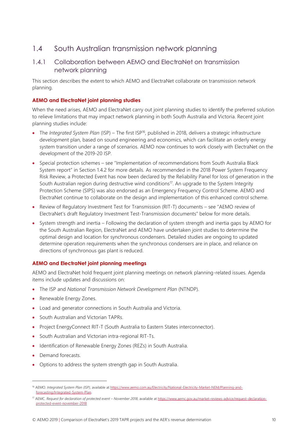### <span id="page-9-0"></span>1.4 South Australian transmission network planning

### 1.4.1 Collaboration between AEMO and ElectraNet on transmission network planning

This section describes the extent to which AEMO and ElectraNet collaborate on transmission network planning.

#### **AEMO and ElectraNet joint planning studies**

When the need arises, AEMO and ElectraNet carry out joint planning studies to identify the preferred solution to relieve limitations that may impact network planning in both South Australia and Victoria. Recent joint planning studies include:

- The *Integrated System Plan* (ISP) The first ISP<sup>16</sup>, published in 2018, delivers a strategic infrastructure development plan, based on sound engineering and economics, which can facilitate an orderly energy system transition under a range of scenarios. AEMO now continues to work closely with ElectraNet on the development of the 2019-20 ISP.
- Special protection schemes see "Implementation of recommendations from South Australia Black System report" in Section 1.4.2 for more details. As recommended in the 2018 Power System Frequency Risk Review, a Protected Event has now been declared by the Reliability Panel for loss of generation in the South Australian region during destructive wind conditions<sup>17</sup>. An upgrade to the System Integrity Protection Scheme (SIPS) was also endorsed as an Emergency Frequency Control Scheme. AEMO and ElectraNet continue to collaborate on the design and implementation of this enhanced control scheme.
- Review of Regulatory Investment Test for Transmission (RIT-T) documents see "AEMO review of ElectraNet's draft Regulatory Investment Test-Transmission documents" below for more details.
- System strength and inertia Following the declaration of system strength and inertia gaps by AEMO for the South Australian Region, ElectraNet and AEMO have undertaken joint studies to determine the optimal design and location for synchronous condensers. Detailed studies are ongoing to updated determine operation requirements when the synchronous condensers are in place, and reliance on directions of synchronous gas plant is reduced.

#### **AEMO and ElectraNet joint planning meetings**

AEMO and ElectraNet hold frequent joint planning meetings on network planning-related issues. Agenda items include updates and discussions on:

- The ISP and *National Transmission Network Development Plan* (NTNDP).
- Renewable Energy Zones.
- Load and generator connections in South Australia and Victoria.
- South Australian and Victorian TAPRs.
- Project EnergyConnect RIT-T (South Australia to Eastern States interconnector).
- South Australian and Victorian intra-regional RIT-Ts.
- Identification of Renewable Energy Zones (REZs) in South Australia.
- Demand forecasts.

 $\overline{a}$ 

• Options to address the system strength gap in South Australia.

<sup>&</sup>lt;sup>16</sup> AEMO. Integrated System Plan (ISP), available a[t https://www.aemo.com.au/Electricity/National-Electricity-Market-NEM/Planning-and](https://www.aemo.com.au/Electricity/National-Electricity-Market-NEM/Planning-and-forecasting/Integrated-System-Plan)[forecasting/Integrated-System-Plan.](https://www.aemo.com.au/Electricity/National-Electricity-Market-NEM/Planning-and-forecasting/Integrated-System-Plan) 

<sup>17</sup> AEMC. *Request for declaration of protected event – November 2018*, available a[t https://www.aemc.gov.au/market-reviews-advice/request-declaration](https://www.aemc.gov.au/market-reviews-advice/request-declaration-protected-event-november-2018)[protected-event-november-2018](https://www.aemc.gov.au/market-reviews-advice/request-declaration-protected-event-november-2018)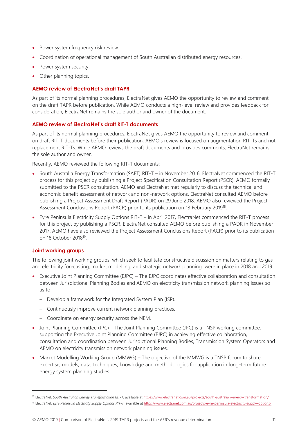- Power system frequency risk review.
- Coordination of operational management of South Australian distributed energy resources.
- Power system security.
- Other planning topics.

#### **AEMO review of ElectraNet's draft TAPR**

As part of its normal planning procedures, ElectraNet gives AEMO the opportunity to review and comment on the draft TAPR before publication. While AEMO conducts a high-level review and provides feedback for consideration, ElectraNet remains the sole author and owner of the document.

#### **AEMO review of ElectraNet's draft RIT-T documents**

As part of its normal planning procedures, ElectraNet gives AEMO the opportunity to review and comment on draft RIT-T documents before their publication. AEMO's review is focused on augmentation RIT-Ts and not replacement RIT-Ts. While AEMO reviews the draft documents and provides comments, ElectraNet remains the sole author and owner.

Recently, AEMO reviewed the following RIT-T documents:

- South Australia Energy Transformation (SAET) RIT-T in November 2016, ElectraNet commenced the RIT-T process for this project by publishing a Project Specification Consultation Report (PSCR). AEMO formally submitted to the PSCR consultation. AEMO and ElectraNet met regularly to discuss the technical and economic benefit assessment of network and non-network options. ElectraNet consulted AEMO before publishing a Project Assessment Draft Report (PADR) on 29 June 2018. AEMO also reviewed the Project Assessment Conclusions Report (PACR) prior to its publication on 13 February 2019<sup>18</sup>.
- Eyre Peninsula Electricity Supply Options RIT-T in April 2017, ElectraNet commenced the RIT-T process for this project by publishing a PSCR. ElectraNet consulted AEMO before publishing a PADR in November 2017. AEMO have also reviewed the Project Assessment Conclusions Report (PACR) prior to its publication on 18 October 2018<sup>19</sup>.

#### **Joint working groups**

 $\overline{a}$ 

The following joint working groups, which seek to facilitate constructive discussion on matters relating to gas and electricity forecasting, market modelling, and strategic network planning, were in place in 2018 and 2019:

- Executive Joint Planning Committee (EJPC) The EJPC coordinates effective collaboration and consultation between Jurisdictional Planning Bodies and AEMO on electricity transmission network planning issues so as to
	- Develop a framework for the Integrated System Plan (ISP).
	- Continuously improve current network planning practices.
	- Coordinate on energy security across the NEM.
- Joint Planning Committee (JPC) The Joint Planning Committee (JPC) is a TNSP working committee, supporting the Executive Joint Planning Committee (EJPC) in achieving effective collaboration, consultation and coordination between Jurisdictional Planning Bodies, Transmission System Operators and AEMO on electricity transmission network planning issues.
- Market Modelling Working Group (MMWG) The objective of the MMWG is a TNSP forum to share expertise, models, data, techniques, knowledge and methodologies for application in long-term future energy system planning studies.

<sup>18</sup> ElectraNet. South Australian Energy Transformation RIT-T. available a[t https://www.electranet.com.au/projects/south-australian-energy-transformation/](https://www.electranet.com.au/projects/south-australian-energy-transformation/)

<sup>&</sup>lt;sup>19</sup> ElectraNet. Eyre Peninsula Electricity Supply Options RIT-T, available a[t https://www.electranet.com.au/projects/eyre-peninsula-electricity-supply-options/](https://www.electranet.com.au/projects/eyre-peninsula-electricity-supply-options/)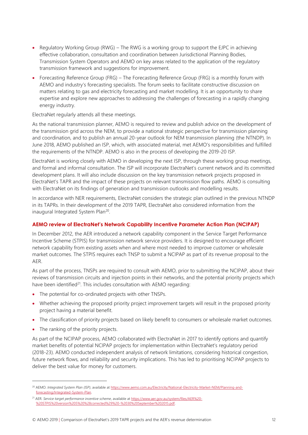- Regulatory Working Group (RWG) The RWG is a working group to support the EJPC in achieving effective collaboration, consultation and coordination between Jurisdictional Planning Bodies, Transmission System Operators and AEMO on key areas related to the application of the regulatory transmission framework and suggestions for improvement.
- Forecasting Reference Group (FRG) The Forecasting Reference Group (FRG) is a monthly forum with AEMO and industry's forecasting specialists. The forum seeks to facilitate constructive discussion on matters relating to gas and electricity forecasting and market modelling. It is an opportunity to share expertise and explore new approaches to addressing the challenges of forecasting in a rapidly changing energy industry.

ElectraNet regularly attends all these meetings.

As the national transmission planner, AEMO is required to review and publish advice on the development of the transmission grid across the NEM, to provide a national strategic perspective for transmission planning and coordination, and to publish an annual 20-year outlook for NEM transmission planning (the NTNDP). In June 2018, AEMO published an ISP, which, with associated material, met AEMO's responsibilities and fulfilled the requirements of the NTNDP. AEMO is also in the process of developing the 2019-20 ISP.

ElectraNet is working closely with AEMO in developing the next ISP, through these working group meetings, and formal and informal consultation. The ISP will incorporate ElectraNet's current network and its committed development plans. It will also include discussion on the key transmission network projects proposed in ElectraNet's TAPR and the impact of these projects on relevant transmission flow paths. AEMO is consulting with ElectraNet on its findings of generation and transmission outlooks and modelling results.

In accordance with NER requirements, ElectraNet considers the strategic plan outlined in the previous NTNDP in its TAPRs. In their development of the 2019 TAPR, ElectraNet also considered information from the inaugural Integrated System Plan<sup>20</sup>.

#### **AEMO review of ElectraNet's Network Capability Incentive Parameter Action Plan (NCIPAP)**

In December 2012, the AER introduced a network capability component in the Service Target Performance Incentive Scheme (STPIS) for transmission network service providers. It is designed to encourage efficient network capability from existing assets when and where most needed to improve customer or wholesale market outcomes. The STPIS requires each TNSP to submit a NCIPAP as part of its revenue proposal to the AER.

As part of the process, TNSPs are required to consult with AEMO, prior to submitting the NCIPAP, about their reviews of transmission circuits and injection points in their networks, and the potential priority projects which have been identified<sup>21</sup>. This includes consultation with AEMO regarding:

- The potential for co-ordinated projects with other TNSPs.
- Whether achieving the proposed priority project improvement targets will result in the proposed priority project having a material benefit.
- The classification of priority projects based on likely benefit to consumers or wholesale market outcomes.
- The ranking of the priority projects.

 $\overline{a}$ 

As part of the NCIPAP process, AEMO collaborated with ElectraNet in 2017 to identify options and quantify market benefits of potential NCIPAP projects for implementation within ElectraNet's regulatory period (2018-23). AEMO conducted independent analysis of network limitations, considering historical congestion, future network flows, and reliability and security implications. This has led to prioritising NCIPAP projects to deliver the best value for money for customers.

<sup>&</sup>lt;sup>20</sup> AEMO. Integrated System Plan (ISP), available a[t https://www.aemo.com.au/Electricity/National-Electricity-Market-NEM/Planning-and](https://www.aemo.com.au/Electricity/National-Electricity-Market-NEM/Planning-and-forecasting/Integrated-System-Plan)[forecasting/Integrated-System-Plan.](https://www.aemo.com.au/Electricity/National-Electricity-Market-NEM/Planning-and-forecasting/Integrated-System-Plan) 

<sup>21</sup> AER. *Service target performance incentive scheme*, available at [https://www.aer.gov.au/system/files/AER%20-](https://www.aer.gov.au/system/files/AER%20-%20STPIS%20version%205%20%28corrected%29%20-%2030%20September%202015.pdf) [%20STPIS%20version%205%20%28corrected%29%20-%2030%20September%202015.pdf.](https://www.aer.gov.au/system/files/AER%20-%20STPIS%20version%205%20%28corrected%29%20-%2030%20September%202015.pdf)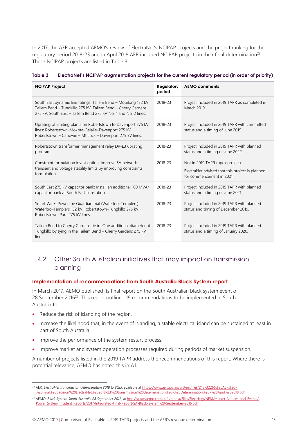In 2017, the AER accepted AEMO's review of ElectraNet's NCIPAP projects and the project ranking for the regulatory period 2018-23 and in April 2018 AER included NCIPAP projects in their final determination<sup>22</sup>. These NCIPAP projects are listed in Table 3.

<span id="page-12-0"></span>

| Table 3 | ElectraNet's NCIPAP augmentation projects for the current regulatory period (in order of priority) |  |  |
|---------|----------------------------------------------------------------------------------------------------|--|--|
|---------|----------------------------------------------------------------------------------------------------|--|--|

| <b>NCIPAP Project</b>                                                                                                                                                                             | Regulatory<br>period | <b>AEMO comments</b>                                                                                             |
|---------------------------------------------------------------------------------------------------------------------------------------------------------------------------------------------------|----------------------|------------------------------------------------------------------------------------------------------------------|
| South East dynamic line ratings: Tailem Bend - Mobilong 132 kV,<br>Tailem Bend - Tungkillo 275 kV, Tailem Bend - Cherry Gardens<br>275 kV, South East - Tailem Bend 275 kV No. 1 and No. 2 lines. | 2018-23              | Project included in 2019 TAPR as completed in<br>March 2019                                                      |
| Uprating of limiting plants on Robertstown to Davenport 275 kV<br>lines: Robertstown-Mokota-Belalie-Davenport 275 kV,<br>Robertstown - Canowie - Mt Lock - Davenport 275 kV lines.                | 2018-23              | Project included in 2019 TAPR with committed<br>status and a timing of June 2019                                 |
| Robertstown transformer management relay DR-E3 uprating<br>program.                                                                                                                               | 2018-23              | Project included in 2019 TAPR with planned<br>status and a timing of June 2022.                                  |
| Constraint formulation investigation: Improve SA network<br>transient and voltage stability limits by improving constraints<br>formulation.                                                       | 2018-23              | Not in 2019 TAPR (opex project).<br>ElectraNet advised that this project is planned<br>for commencement in 2021. |
| South East 275 kV capacitor bank: Install an additional 100 MVAr<br>capacitor bank at South East substation.                                                                                      | 2018-23              | Project included in 2019 TAPR with planned<br>status and a timing of June 2021.                                  |
| Smart Wires Powerline Guardian trial (Waterloo-Templers):<br>Waterloo-Templers 132 kV, Robertstown-Tungkillo 275 kV,<br>Robertstown-Para 275 kV lines.                                            | 2018-23              | Project included in 2019 TAPR with planned<br>status and timing of December 2019.                                |
| Tailem Bend to Cherry Gardens tie in: One additional diameter at<br>Tungkillo by tying in the Tailem Bend - Cherry Gardens 275 kV<br>line.                                                        | 2018-23              | Project included in 2019 TAPR with planned<br>status and a timing of January 2020.                               |

### 1.4.2 Other South Australian initiatives that may impact on transmission planning

#### **Implementation of recommendations from South Australia Black System report**

In March 2017, AEMO published its final report on the South Australian black system event of 28 September 2016<sup>23</sup>. This report outlined 19 recommendations to be implemented in South Australia to:

• Reduce the risk of islanding of the region.

 $\overline{a}$ 

- Increase the likelihood that, in the event of islanding, a stable electrical island can be sustained at least in part of South Australia.
- Improve the performance of the system restart process.
- Improve market and system operation processes required during periods of market suspension.

A number of projects listed in the 2019 TAPR address the recommendations of this report. Where there is potential relevance, AEMO has noted this in [A1.](#page-19-0)

<sup>22</sup> AER. *ElectraNet transmission determination 2018 to 2023*, available a[t https://www.aer.gov.au/system/files/D18-32266%20AER%20-](https://www.aer.gov.au/system/files/D18-32266%20AER%20-%20Final%20decision%20ElectraNet%202018-23%20transmission%20determination%20-%20Determination%20-%20April%202018.pdf) [%20Final%20decision%20ElectraNet%202018-23%20transmission%20determination%20-%20Determination%20-%20April%202018.pdf.](https://www.aer.gov.au/system/files/D18-32266%20AER%20-%20Final%20decision%20ElectraNet%202018-23%20transmission%20determination%20-%20Determination%20-%20April%202018.pdf)

<sup>&</sup>lt;sup>23</sup> AEMO. Black System South Australia 28 September 2016, a[t http://www.aemo.com.au/-/media/Files/Electricity/NEM/Market\\_Notices\\_and\\_Events/](http://www.aemo.com.au/-/media/Files/Electricity/NEM/Market_Notices_and_Events/Power_System_Incident_Reports/2017/Integrated-Final-Report-SA-Black-System-28-September-2016.pdf) Power\_System\_Incident\_Reports/2017/Integrated-Final-Report-SA-Black-System-28-September-2016.pdf.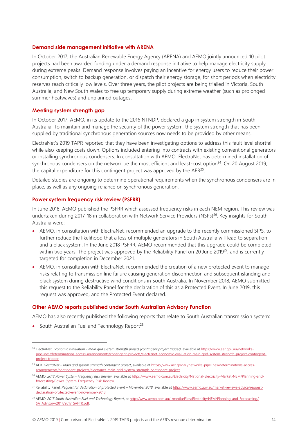#### **Demand side management initiative with ARENA**

In October 2017, the Australian Renewable Energy Agency (ARENA) and AEMO jointly announced 10 pilot projects had been awarded funding under a demand response initiative to help manage electricity supply during extreme peaks. Demand response involves paying an incentive for energy users to reduce their power consumption, switch to backup generation, or dispatch their energy storage, for short periods when electricity reserves reach critically low levels. Over three years, the pilot projects are being trialled in Victoria, South Australia, and New South Wales to free up temporary supply during extreme weather (such as prolonged summer heatwaves) and unplanned outages.

#### **Meeting system strength gap**

In October 2017, AEMO, in its update to the 2016 NTNDP, declared a gap in system strength in South Australia. To maintain and manage the security of the power system, the system strength that has been supplied by traditional synchronous generation sources now needs to be provided by other means.

ElectraNet's 2019 TAPR reported that they have been investigating options to address this fault level shortfall while also keeping costs down. Options included entering into contracts with existing conventional generators or installing synchronous condensers. In consultation with AEMO, ElectraNet has determined installation of synchronous condensers on the network be the most efficient and least-cost option<sup>24</sup>. On 20 August 2019, the capital expenditure for this contingent project was approved by the  $AER^{25}$ .

Detailed studies are ongoing to determine operational requirements when the synchronous condensers are in place, as well as any ongoing reliance on synchronous generation.

#### **Power system frequency risk review (PSFRR)**

In June 2018, AEMO published the PSFRR which assessed frequency risks in each NEM region. This review was undertaken during 2017-18 in collaboration with Network Service Providers (NSPs)<sup>26</sup>. Key insights for South Australia were:

- AEMO, in consultation with ElectraNet, recommended an upgrade to the recently commissioned SIPS, to further reduce the likelihood that a loss of multiple generators in South Australia will lead to separation and a black system. In the June 2018 PSFRR, AEMO recommended that this upgrade could be completed within two years. The project was approved by the Reliability Panel on 20 June 2019<sup>27</sup>, and is currently targeted for completion in December 2021.
- AEMO, in consultation with ElectraNet, recommended the creation of a new protected event to manage risks relating to transmission line failure causing generation disconnection and subsequent islanding and black system during destructive wind conditions in South Australia. In November 2018, AEMO submitted this request to the Reliability Panel for the declaration of this as a Protected Event. In June 2019, this request was approved, and the Protected Event declared.

#### **Other AEMO reports published under South Australian Advisory Function**

AEMO has also recently published the following reports that relate to South Australian transmission system:

• South Australian Fuel and Technology Report<sup>28</sup>.

 $\overline{a}$ 

<sup>24</sup> ElectraNet. *Economic evaluation - Main grid system strength project (contingent project trigger)*, available a[t https://www.aer.gov.au/networks](https://www.aer.gov.au/networks-pipelines/determinations-access-arrangements/contingent-projects/electranet-economic-evaluation-main-grid-system-strength-project-contingent-project-trigger)[pipelines/determinations-access-arrangements/contingent-projects/electranet-economic-evaluation-main-grid-system-strength-project-contingent](https://www.aer.gov.au/networks-pipelines/determinations-access-arrangements/contingent-projects/electranet-economic-evaluation-main-grid-system-strength-project-contingent-project-trigger)[project-trigger.](https://www.aer.gov.au/networks-pipelines/determinations-access-arrangements/contingent-projects/electranet-economic-evaluation-main-grid-system-strength-project-contingent-project-trigger)

<sup>&</sup>lt;sup>25</sup> AER. *ElectraNet - Main grid system strength contingent project, available a[t https://www.aer.gov.au/networks-pipelines/determinations-access](https://www.aer.gov.au/networks-pipelines/determinations-access-arrangements/contingent-projects/electranet-main-grid-system-strength-contingent-project)*[arrangements/contingent-projects/electranet-main-grid-system-strength-contingent-project.](https://www.aer.gov.au/networks-pipelines/determinations-access-arrangements/contingent-projects/electranet-main-grid-system-strength-contingent-project) 

<sup>&</sup>lt;sup>26</sup> AEMO. 2018 Power System Frequency Risk Review, available a[t https://www.aemo.com.au/Electricity/National-Electricity-Market-NEM/Planning-and](https://www.aemo.com.au/Electricity/National-Electricity-Market-NEM/Planning-and-forecasting/Power-System-Frequency-Risk-Review)[forecasting/Power-System-Frequency-Risk-Review.](https://www.aemo.com.au/Electricity/National-Electricity-Market-NEM/Planning-and-forecasting/Power-System-Frequency-Risk-Review)

<sup>27</sup> Reliability Panel. *Request for declaration of protected event – November 2018*, available a[t https://www.aemc.gov.au/market-reviews-advice/request](https://www.aemc.gov.au/market-reviews-advice/request-declaration-protected-event-november-2018)[declaration-protected-event-november-2018.](https://www.aemc.gov.au/market-reviews-advice/request-declaration-protected-event-november-2018) 

<sup>&</sup>lt;sup>28</sup> AEMO. 2017 South Australian Fuel and Technology Report, at [http://www.aemo.com.au/-/media/Files/Electricity/NEM/Planning\\_and\\_Forecasting/](http://www.aemo.com.au/-/media/Files/Electricity/NEM/Planning_and_Forecasting/SA_Advisory/2017/2017_SAFTR.pdf) [SA\\_Advisory/2017/2017\\_SAFTR.pdf.](http://www.aemo.com.au/-/media/Files/Electricity/NEM/Planning_and_Forecasting/SA_Advisory/2017/2017_SAFTR.pdf)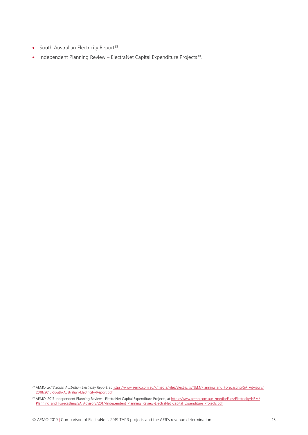- South Australian Electricity Report<sup>29</sup>.
- Independent Planning Review ElectraNet Capital Expenditure Projects<sup>30</sup>.

 $\overline{a}$ 

<sup>&</sup>lt;sup>29</sup> AEMO. 2018 South Australian Electricity Report, at [https://www.aemo.com.au/-/media/Files/Electricity/NEM/Planning\\_and\\_Forecasting/SA\\_Advisory/](https://www.aemo.com.au/-/media/Files/Electricity/NEM/Planning_and_Forecasting/SA_Advisory/2018/2018-South-Australian-Electricity-Report.pdf) [2018/2018-South-Australian-Electricity-Report.pdf](https://www.aemo.com.au/-/media/Files/Electricity/NEM/Planning_and_Forecasting/SA_Advisory/2018/2018-South-Australian-Electricity-Report.pdf)

<sup>30</sup> AEMO. 2017 Independent Planning Review - ElectraNet Capital Expenditure Projects, at [https://www.aemo.com.au/-/media/Files/Electricity/NEM/](https://www.aemo.com.au/-/media/Files/Electricity/NEM/Planning_and_Forecasting/SA_Advisory/2017/Independent_Planning_Review-ElectraNet_Capital_Expenditure_Projects.pdf) [Planning\\_and\\_Forecasting/SA\\_Advisory/2017/Independent\\_Planning\\_Review-ElectraNet\\_Capital\\_Expenditure\\_Projects.pdf.](https://www.aemo.com.au/-/media/Files/Electricity/NEM/Planning_and_Forecasting/SA_Advisory/2017/Independent_Planning_Review-ElectraNet_Capital_Expenditure_Projects.pdf)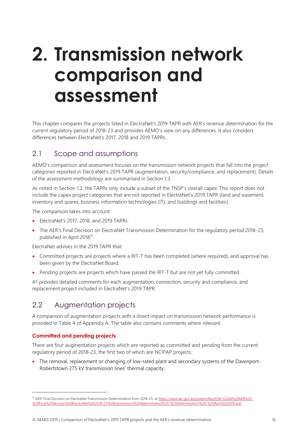# <span id="page-15-0"></span>**2. Transmission network comparison and assessment**

This chapter compares the projects listed in ElectraNet's 2019 TAPR with AER's revenue determination for the current regulatory period of 2018-23 and provides AEMO's view on any differences. It also considers differences between ElectraNet's 2017, 2018 and 2019 TAPRs.

## <span id="page-15-1"></span>2.1 Scope and assumptions

AEMO's comparison and assessment focuses on the transmission network projects that fall into the project categories reported in ElectraNet's 2019 TAPR (augmentation, security/compliance, and replacement). Details of the assessment methodology are summarised in Section [1.3.](#page-8-0)

As noted in Section [1.2,](#page-6-0) the TAPRs only include a subset of the TNSP's overall capex. This report does not include the capex project categories that are not reported in ElectraNet's 2019 TAPR (land and easement, inventory and spares, business information technologies (IT), and buildings and facilities).

The comparison takes into account:

- ElectraNet's 2017, 2018, and 2019 TAPRs.
- The AER's Final Decision on ElectraNet Transmission Determination for the regulatory period 2018-23, published in April 2018<sup>31</sup>.

ElectraNet advises in the 2019 TAPR that:

- Committed projects are projects where a RIT-T has been completed (where required), and approval has been given by the ElectraNet Board.
- Pending projects are projects which have passed the RIT-T but are not yet fully committed.

[A1](#page-19-0) provides detailed comments for each augmentation, connection, security and compliance, and replacement project included in ElectraNet's 2019 TAPR.

## <span id="page-15-2"></span>2.2 Augmentation projects

A comparison of augmentation projects with a direct impact on transmission network performance is provided in [Table 4](#page-19-1) of Appendix A. The table also contains comments where relevant.

#### **Committed and pending projects**

 $\overline{a}$ 

There are four augmentation projects which are reported as committed and pending from the current regulatory period of 2018-23, the first two of which are NCIPAP projects:

• The removal, replacement or changing of low-rated plant and secondary systems of the Davenport-Robertstown 275 kV transmission lines' thermal capacity.

<sup>&</sup>lt;sup>31</sup> AER. Final Decision on ElectraNet Transmission Determination from 2018-23, a[t https://www.aer.gov.au/system/files/D18-32266%20AER%20-](https://www.aer.gov.au/system/files/D18-32266%20AER%20-%20Final%20decision%20ElectraNet%202018-23%20transmission%20determination%20-%20Determination%20-%20April%202018.pdf) [%20Final%20decision%20ElectraNet%202018-23%20transmission%20determination%20-%20Determination%20-%20April%202018.pdf.](https://www.aer.gov.au/system/files/D18-32266%20AER%20-%20Final%20decision%20ElectraNet%202018-23%20transmission%20determination%20-%20Determination%20-%20April%202018.pdf)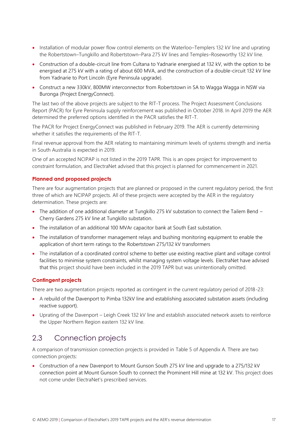- Installation of modular power flow control elements on the Waterloo–Templers 132 kV line and uprating the Robertstown–Tungkillo and Robertstown–Para 275 kV lines and Temples–Roseworthy 132 kV line.
- Construction of a double-circuit line from Cultana to Yadnarie energised at 132 kV, with the option to be energised at 275 kV with a rating of about 600 MVA, and the construction of a double-circuit 132 kV line from Yadnarie to Port Lincoln (Eyre Peninsula upgrade).
- Construct a new 330kV, 800MW interconnector from Robertstown in SA to Wagga Wagga in NSW via Buronga (Project EnergyConnect).

The last two of the above projects are subject to the RIT-T process. The Project Assessment Conclusions Report (PACR) for Eyre Peninsula supply reinforcement was published in October 2018. In April 2019 the AER determined the preferred options identified in the PACR satisfies the RIT-T.

The PACR for Project EnergyConnect was published in February 2019. The AER is currently determining whether it satisfies the requirements of the RIT-T.

Final revenue approval from the AER relating to maintaining minimum levels of systems strength and inertia in South Australia is expected in 2019.

One of an accepted NCIPAP is not listed in the 2019 TAPR. This is an opex project for improvement to constraint formulation, and ElectraNet advised that this project is planned for commencement in 2021.

#### **Planned and proposed projects**

There are four augmentation projects that are planned or proposed in the current regulatory period, the first three of which are NCIPAP projects. All of these projects were accepted by the AER in the regulatory determination. These projects are:

- The addition of one additional diameter at Tungkillo 275 kV substation to connect the Tailem Bend Cherry Gardens 275 kV line at Tungkillo substation.
- The installation of an additional 100 MVAr capacitor bank at South East substation.
- The installation of transformer management relays and bushing monitoring equipment to enable the application of short term ratings to the Robertstown 275/132 kV transformers
- The installation of a coordinated control scheme to better use existing reactive plant and voltage control facilities to minimise system constraints, whilst managing system voltage levels. ElectraNet have advised that this project should have been included in the 2019 TAPR but was unintentionally omitted.

#### **Contingent projects**

There are two augmentation projects reported as contingent in the current regulatory period of 2018-23:

- A rebuild of the Davenport to Pimba 132kV line and establishing associated substation assets (including reactive support).
- Uprating of the Davenport Leigh Creek 132 kV line and establish associated network assets to reinforce the Upper Northern Region eastern 132 kV line.

## <span id="page-16-0"></span>2.3 Connection projects

A comparison of transmission connection projects is provided in [Table 5](#page-24-0) of Appendix A. There are two connection projects:

• Construction of a new Davenport to Mount Gunson South 275 kV line and upgrade to a 275/132 kV connection point at Mount Gunson South to connect the Prominent Hill mine at 132 kV. This project does not come under ElectraNet's prescribed services.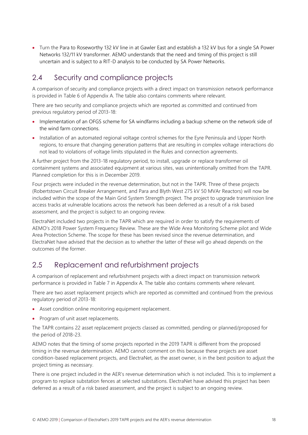• Turn the Para to Roseworthy 132 kV line in at Gawler East and establish a 132 kV bus for a single SA Power Networks 132/11 kV transformer. AEMO understands that the need and timing of this project is still uncertain and is subject to a RIT-D analysis to be conducted by SA Power Networks.

## <span id="page-17-0"></span>2.4 Security and compliance projects

A comparison of security and compliance projects with a direct impact on transmission network performance is provided in [Table 6](#page-25-0) of Appendix A. The table also contains comments where relevant.

There are two security and compliance projects which are reported as committed and continued from previous regulatory period of 2013-18:

- Implementation of an OFGS scheme for SA windfarms including a backup scheme on the network side of the wind farm connections.
- Installation of an automated regional voltage control schemes for the Eyre Peninsula and Upper North regions, to ensure that changing generation patterns that are resulting in complex voltage interactions do not lead to violations of voltage limits stipulated in the Rules and connection agreements.

A further project from the 2013-18 regulatory period, to install, upgrade or replace transformer oil containment systems and associated equipment at various sites, was unintentionally omitted from the TAPR. Planned completion for this is in December 2019.

Four projects were included in the revenue determination, but not in the TAPR. Three of these projects (Robertstown Circuit Breaker Arrangement, and Para and Blyth West 275 kV 50 MVAr Reactors) will now be included within the scope of the Main Grid System Strength project. The project to upgrade transmission line access tracks at vulnerable locations across the network has been deferred as a result of a risk based assessment, and the project is subject to an ongoing review.

ElectraNet included two projects in the TAPR which are required in order to satisfy the requirements of AEMO's 2018 Power System Frequency Review. These are the Wide Area Monitoring Scheme pilot and Wide Area Protection Scheme. The scope for these has been revised since the revenue determination, and ElectraNet have advised that the decision as to whether the latter of these will go ahead depends on the outcomes of the former.

# <span id="page-17-1"></span>2.5 Replacement and refurbishment projects

A comparison of replacement and refurbishment projects with a direct impact on transmission network performance is provided in [Table 7](#page-30-0) in Appendix A. The table also contains comments where relevant.

There are two asset replacement projects which are reported as committed and continued from the previous regulatory period of 2013-18:

- Asset condition online monitoring equipment replacement.
- Program of unit asset replacements.

The TAPR contains 22 asset replacement projects classed as committed, pending or planned/proposed for the period of 2018-23.

AEMO notes that the timing of some projects reported in the 2019 TAPR is different from the proposed timing in the revenue determination. AEMO cannot comment on this because these projects are asset condition-based replacement projects, and ElectraNet, as the asset owner, is in the best position to adjust the project timing as necessary.

There is one project included in the AER's revenue determination which is not included. This is to implement a program to replace substation fences at selected substations. ElectraNet have advised this project has been deferred as a result of a risk based assessment, and the project is subject to an ongoing review.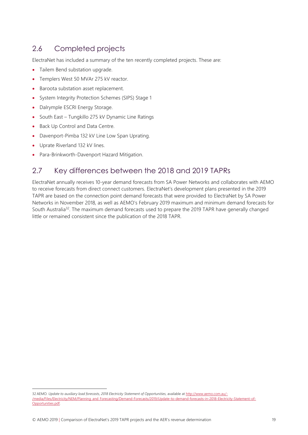# <span id="page-18-0"></span>2.6 Completed projects

ElectraNet has included a summary of the ten recently completed projects. These are:

- Tailem Bend substation upgrade.
- Templers West 50 MVAr 275 kV reactor.
- Baroota substation asset replacement.
- System Integrity Protection Schemes (SIPS) Stage 1
- Dalrymple ESCRI Energy Storage.
- South East Tungkillo 275 kV Dynamic Line Ratings
- Back Up Control and Data Centre.
- Davenport-Pimba 132 kV Line Low Span Uprating.
- Uprate Riverland 132 kV lines.

 $\overline{a}$ 

• Para-Brinkworth-Davenport Hazard Mitigation.

## <span id="page-18-1"></span>2.7 Key differences between the 2018 and 2019 TAPRs

ElectraNet annually receives 10-year demand forecasts from SA Power Networks and collaborates with AEMO to receive forecasts from direct connect customers. ElectraNet's development plans presented in the 2019 TAPR are based on the connection point demand forecasts that were provided to ElectraNet by SA Power Networks in November 2018, as well as AEMO's February 2019 maximum and minimum demand forecasts for South Australia<sup>32</sup>. The maximum demand forecasts used to prepare the 2019 TAPR have generally changed little or remained consistent since the publication of the 2018 TAPR.

<sup>32</sup> AEMO*. Update to auxiliary load forecasts, 2018 Electricity Statement of Opportunities*, available a[t http://www.aemo.com.au/-](http://www.aemo.com.au/-/media/Files/Electricity/NEM/Planning_and_Forecasting/Demand-Forecasts/2019/Update-to-demand-forecasts-in-2018-Electricity-Statement-of-Opportunities.pdf) [/media/Files/Electricity/NEM/Planning\\_and\\_Forecasting/Demand-Forecasts/2019/Update-to-demand-forecasts-in-2018-Electricity-Statement-of-](http://www.aemo.com.au/-/media/Files/Electricity/NEM/Planning_and_Forecasting/Demand-Forecasts/2019/Update-to-demand-forecasts-in-2018-Electricity-Statement-of-Opportunities.pdf)[Opportunities.pdf.](http://www.aemo.com.au/-/media/Files/Electricity/NEM/Planning_and_Forecasting/Demand-Forecasts/2019/Update-to-demand-forecasts-in-2018-Electricity-Statement-of-Opportunities.pdf)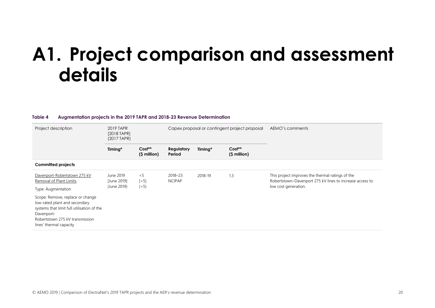# **A1. Project comparison and assessment details**

#### **Table 4 Augmentation projects in the 2019 TAPR and 2018-23 Revenue Determination**

<span id="page-19-1"></span><span id="page-19-0"></span>

| Project description                                                                                                                                                                         | 2019 TAPR<br>[2018 TAPR]<br>(2017 TAPR) |                               | Capex proposal or contingent project proposal |         |                           | AEMO's comments                                                                                                                      |
|---------------------------------------------------------------------------------------------------------------------------------------------------------------------------------------------|-----------------------------------------|-------------------------------|-----------------------------------------------|---------|---------------------------|--------------------------------------------------------------------------------------------------------------------------------------|
|                                                                                                                                                                                             | Timing*                                 | Cost**<br>(\$ million)        | Regulatory<br>Period                          | Timing* | $Cost**$<br>$(S$ million) |                                                                                                                                      |
| <b>Committed projects</b>                                                                                                                                                                   |                                         |                               |                                               |         |                           |                                                                                                                                      |
| Davenport-Robertstown 275 kV<br>Removal of Plant Limits<br>Type: Augmentation                                                                                                               | June 2019<br>[June 2019]<br>(June 2019) | < 5<br>$\lceil$ < 5]<br>(< 5) | 2018-23<br><b>NCIPAP</b>                      | 2018-19 | 1.3                       | This project improves the thermal ratings of the<br>Robertstown-Davenport 275 kV lines to increase access to<br>low cost generation. |
| Scope: Remove, replace or change<br>low-rated plant and secondary<br>systems that limit full utilisation of the<br>Davenport-<br>Robertstown 275 kV transmission<br>lines' thermal capacity |                                         |                               |                                               |         |                           |                                                                                                                                      |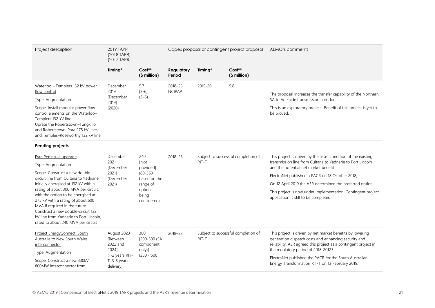| Project description                                                                                                                                                                                                                                                                                                                                                                                                                        | 2019 TAPR<br>[2018 TAPR]<br>(2017 TAPR)                                                                 | Capex proposal or contingent project proposal                                                           |                          | AEMO's comments |                                     |                                                                                                                                                                                                                                                                                                                                                                                              |
|--------------------------------------------------------------------------------------------------------------------------------------------------------------------------------------------------------------------------------------------------------------------------------------------------------------------------------------------------------------------------------------------------------------------------------------------|---------------------------------------------------------------------------------------------------------|---------------------------------------------------------------------------------------------------------|--------------------------|-----------------|-------------------------------------|----------------------------------------------------------------------------------------------------------------------------------------------------------------------------------------------------------------------------------------------------------------------------------------------------------------------------------------------------------------------------------------------|
|                                                                                                                                                                                                                                                                                                                                                                                                                                            | Timing*                                                                                                 | Cost**<br>(\$ million)                                                                                  | Regulatory<br>Period     | Timing*         | $Cost**$<br>(\$ million)            |                                                                                                                                                                                                                                                                                                                                                                                              |
| Waterloo - Templers 132 kV power<br>flow control<br>Type: Augmentation<br>Scope: Install modular power flow<br>control elements on the Waterloo-<br>Templers 132 kV line.<br>Uprate the Robertstown-Tungkillo<br>and Robertstown-Para 275 kV lines<br>and Temples-Roseworthy 132 kV line.                                                                                                                                                  | December<br>2019<br>[December<br>2019]<br>(2020)                                                        | 5.7<br>$[3-6]$<br>$(3-6)$                                                                               | 2018-23<br><b>NCIPAP</b> | 2019-20         | 5.8                                 | The proposal increases the transfer capability of the Northern<br>SA to Adelaide transmission corridor.<br>This is an exploratory project. Benefit of this project is yet to<br>be proved.                                                                                                                                                                                                   |
| <b>Pending projects</b>                                                                                                                                                                                                                                                                                                                                                                                                                    |                                                                                                         |                                                                                                         |                          |                 |                                     |                                                                                                                                                                                                                                                                                                                                                                                              |
| Eyre Peninsula upgrade<br>Type: Augmentation<br>Scope: Construct a new double-<br>circuit line from Cultana to Yadnarie<br>initially energised at 132 kV with a<br>rating of about 300 MVA per circuit,<br>with the option to be energised at<br>275 kV with a rating of about 600<br>MVA if required in the future.<br>Construct a new double-circuit 132<br>kV line from Yadnarie to Port Lincoln,<br>rated to about 240 MVA per circuit | December<br>2021<br>[December<br>2021]<br>(December<br>2021                                             | 240<br>[Not<br>provided]<br>$(80 - 560)$<br>based on the<br>range of<br>options<br>being<br>considered) | 2018-23                  | RIT-T           | Subject to successful completion of | This project is driven by the asset condition of the existing<br>transmission line from Cultana to Yadnarie to Port Lincoln<br>and the potential net market benefit<br>ElectraNet published a PACR on 18 October 2018,<br>On 12 April 2019 the AER determined the preferred option.<br>This project is now under implementation. Contingent project<br>application is still to be completed. |
| Project EnergyConnect: South<br>Australia to New South Wales<br>interconnector<br>Type: Augmentation<br>Scope: Construct a new 330kV,<br>800MW interconnector from                                                                                                                                                                                                                                                                         | August 2023<br><b>[Between</b><br>2022 and<br>20241<br>(1-2 years RIT-<br>$T1$ , 3-5 years<br>delivery) | 380<br>[200-500 (SA<br>component<br>only)]<br>$(250 - 500)$                                             | 2018-23                  | RIT-T           | Subject to successful completion of | This project is driven by net market benefits by lowering<br>generation dispatch costs and enhancing security and<br>reliability. AER agreed this project as a contingent project in<br>the regulatory period of 2018-20123.<br>ElectraNet published the PACR for the South Australian<br>Energy Transformation RIT-T on 13 February 2019.                                                   |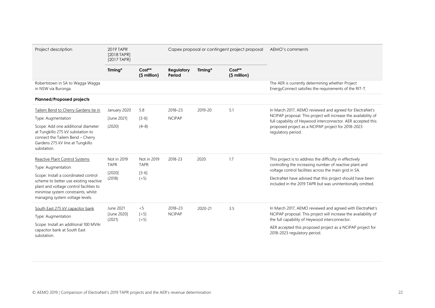| Project description                                                                                                                                                                                                                                         | 2019 TAPR<br>[2018 TAPR]<br>(2017 TAPR)        |                                                | Capex proposal or contingent project proposal |         |                        | AEMO's comments                                                                                                                                                                                                                                                                                           |
|-------------------------------------------------------------------------------------------------------------------------------------------------------------------------------------------------------------------------------------------------------------|------------------------------------------------|------------------------------------------------|-----------------------------------------------|---------|------------------------|-----------------------------------------------------------------------------------------------------------------------------------------------------------------------------------------------------------------------------------------------------------------------------------------------------------|
|                                                                                                                                                                                                                                                             | Timing*                                        | Cost**<br>(\$ million)                         | Regulatory<br>Period                          | Timing* | Cost**<br>(\$ million) |                                                                                                                                                                                                                                                                                                           |
| Robertstown in SA to Wagga Wagga<br>in NSW via Buronga.                                                                                                                                                                                                     |                                                |                                                |                                               |         |                        | The AER is currently determining whether Project<br>EnergyConnect satisfies the requirements of the RIT-T.                                                                                                                                                                                                |
| <b>Planned/Proposed projects</b>                                                                                                                                                                                                                            |                                                |                                                |                                               |         |                        |                                                                                                                                                                                                                                                                                                           |
| Tailem Bend to Cherry Gardens tie in<br>Type: Augmentation<br>Scope: Add one additional diameter<br>at Tungkillo 275 kV substation to<br>connect the Tailem Bend - Cherry<br>Gardens 275 kV line at Tungkillo<br>substation.                                | January 2020<br>[June 2021]<br>(2020)          | 5.8<br>$[3-6]$<br>$(4-8)$                      | $2018 - 23$<br><b>NCIPAP</b>                  | 2019-20 | 5.1                    | In March 2017, AEMO reviewed and agreed for ElectraNet's<br>NCIPAP proposal. This project will increase the availability of<br>full capability of Heywood interconnector. AER accepted this<br>proposed project as a NCIPAP project for 2018-2023<br>regulatory period.                                   |
| Reactive Plant Control Systems<br>Type: Augmentation<br>Scope: Install a coordinated control<br>scheme to better use existing reactive<br>plant and voltage control facilities to<br>minimise system constraints, whilst<br>managing system voltage levels. | Not in 2019<br><b>TAPR</b><br>[2020]<br>(2018) | Not in 2019<br><b>TAPR</b><br>$[3-6]$<br>(< 5) | 2018-23                                       | 2020    | 1.7                    | This project is to address the difficulty in effectively<br>controlling the increasing number of reactive plant and<br>voltage control facilities across the main grid in SA.<br>ElectraNet have advised that this project should have been<br>included in the 2019 TAPR but was unintentionally omitted. |
| South East 275 kV capacitor bank<br>Type: Augmentation<br>Scope: Install an additional 100 MVAr<br>capacitor bank at South East<br>substation.                                                                                                              | June 2021<br>[June 2020]<br>(2021)             | < 5<br>$\lceil$ < 5]<br>(< 5)                  | 2018-23<br><b>NCIPAP</b>                      | 2020-21 | 3.5                    | In March 2017, AEMO reviewed and agreed with ElectraNet's<br>NCIPAP proposal. This project will increase the availability of<br>the full capability of Heywood interconnector.<br>AER accepted this proposed project as a NCIPAP project for<br>2018-2023 regulatory period.                              |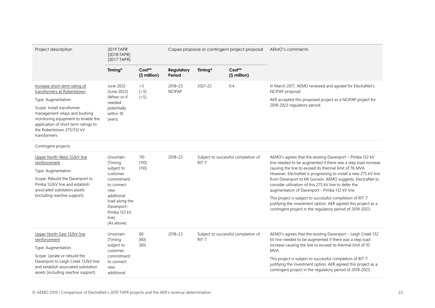| Project description                                                                                                                                                                                                                                                           | 2019 TAPR<br>[2018 TAPR]<br>(2017 TAPR)                                                                                                                                |                                      | Capex proposal or contingent project proposal |         |                                     | AEMO's comments                                                                                                                                                                                                                                                                                                                                                                                                                                                                                                                                                                                                             |
|-------------------------------------------------------------------------------------------------------------------------------------------------------------------------------------------------------------------------------------------------------------------------------|------------------------------------------------------------------------------------------------------------------------------------------------------------------------|--------------------------------------|-----------------------------------------------|---------|-------------------------------------|-----------------------------------------------------------------------------------------------------------------------------------------------------------------------------------------------------------------------------------------------------------------------------------------------------------------------------------------------------------------------------------------------------------------------------------------------------------------------------------------------------------------------------------------------------------------------------------------------------------------------------|
|                                                                                                                                                                                                                                                                               | Timing*                                                                                                                                                                | Cost**<br>(\$ million)               | Regulatory<br>Period                          | Timing* | Cost**<br>(\$ million)              |                                                                                                                                                                                                                                                                                                                                                                                                                                                                                                                                                                                                                             |
| Increase short-term rating of<br>transformers at Robertstown<br>Type: Augmentation<br>Scope: Install transformer<br>management relays and bushing<br>monitoring equipment to enable the<br>application of short term ratings to<br>the Robertstown 275/132 kV<br>transformers | June 2022<br>[June 2022]<br>(When or if<br>needed:<br>potentially<br>within 10<br>years)                                                                               | < 5<br>$\left[ < 5 \right]$<br>(< 5) | 2018-23<br><b>NCIPAP</b>                      | 2021-22 | 0.4                                 | In March 2017, AEMO reviewed and agreed for ElectraNet's<br>NCIPAP proposal.<br>AER accepted this proposed project as a NCIPAP project for<br>2018-2023 regulatory period.                                                                                                                                                                                                                                                                                                                                                                                                                                                  |
| Contingent projects                                                                                                                                                                                                                                                           |                                                                                                                                                                        |                                      |                                               |         |                                     |                                                                                                                                                                                                                                                                                                                                                                                                                                                                                                                                                                                                                             |
| Upper North-West 132kV line<br>reinforcement<br>Type: Augmentation<br>Scope: Rebuild the Davenport to<br>Pimba 132kV line and establish<br>associated substation assets<br>(including reactive support).                                                                      | Uncertain<br>[Timing<br>subject to<br>customer<br>commitment<br>to connect<br>new<br>additional<br>load along the<br>Davenport-<br>Pimba 132 kV<br>line]<br>(As above) | 110<br>[110]<br>(110)                | 2018-23                                       | RIT-T   | Subject to successful completion of | AEMO's agrees that the existing Davenport - Pimba 132 kV<br>line needed to be augmented if there was a step load increase<br>causing the line to exceed its thermal limit of 76 MVA.<br>However, ElectraNet is progressing to install a new 275 kV line<br>from Davenport to Mt Gunson. AEMO suggests, ElectraNet to<br>consider utilisation of this 275 kV line to defer the<br>augmentation of Davenport - Pimba 132 kV line.<br>This project is subject to successful completion of RIT-T<br>justifying the investment option. AER agreed this project as a<br>contingent project in the regulatory period of 2018-2023. |
| Upper North-East 132kV line<br>reinforcement<br>Type: Augmentation<br>Scope: Uprate or rebuild the<br>Davenport to Leigh Creek 132kV line<br>and establish associated substation<br>assets (including reactive support).                                                      | Uncertain<br>[Timing<br>subject to<br>customer<br>commitment<br>to connect<br>new<br>additional                                                                        | 60<br>$[60]$<br>(60)                 | 2018-23                                       | RIT-T   | Subject to successful completion of | AEMO's agrees that the existing Davenport - Leigh Creek 132<br>kV line needed to be augmented if there was a step load<br>increase causing the line to exceed its thermal limit of 10<br>MVA.<br>This project is subject to successful completion of RIT-T<br>justifying the investment option. AER agreed this project as a<br>contingent project in the regulatory period of 2018-2023.                                                                                                                                                                                                                                   |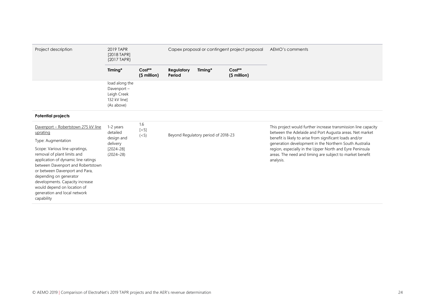| Project description                                                                                                                                                                                                                                                                                                                                                                            | 2019 TAPR<br>[2018 TAPR]<br>(2017 TAPR)                                           |                                 | Capex proposal or contingent project proposal |                                     |                                | AEMO's comments                                                                                                                                                                                                                                                                                                                                                                      |
|------------------------------------------------------------------------------------------------------------------------------------------------------------------------------------------------------------------------------------------------------------------------------------------------------------------------------------------------------------------------------------------------|-----------------------------------------------------------------------------------|---------------------------------|-----------------------------------------------|-------------------------------------|--------------------------------|--------------------------------------------------------------------------------------------------------------------------------------------------------------------------------------------------------------------------------------------------------------------------------------------------------------------------------------------------------------------------------------|
|                                                                                                                                                                                                                                                                                                                                                                                                | Timing*                                                                           | Cost**<br>$(5 \text{ million})$ | Regulatory<br>Period                          | Timing*                             | $Cost**$<br>$($ \$ million $)$ |                                                                                                                                                                                                                                                                                                                                                                                      |
|                                                                                                                                                                                                                                                                                                                                                                                                | load along the<br>Davenport-<br>Leigh Creek<br>132 kV line]<br>(As above)         |                                 |                                               |                                     |                                |                                                                                                                                                                                                                                                                                                                                                                                      |
| <b>Potential projects</b>                                                                                                                                                                                                                                                                                                                                                                      |                                                                                   |                                 |                                               |                                     |                                |                                                                                                                                                                                                                                                                                                                                                                                      |
| Davenport - Robertstown 275 kV line<br>uprating<br>Type: Augmentation<br>Scope: Various line upratings,<br>removal of plant limits and<br>application of dynamic line ratings<br>between Davenport and Robertstown<br>or between Davenport and Para,<br>depending on generator<br>developments. Capacity increase<br>would depend on location of<br>generation and local network<br>capability | 1-2 years<br>detailed<br>design and<br>delivery<br>$[2024 - 28]$<br>$(2024 - 28)$ | 1.6<br>$[<5]$<br>(< 5)          |                                               | Beyond Regulatory period of 2018-23 |                                | This project would further increase transmission line capacity<br>between the Adelaide and Port Augusta areas. Net market<br>benefit is likely to arise from significant loads and/or<br>generation development in the Northern South Australia<br>region, especially in the Upper North and Eyre Peninsula<br>areas. The need and timing are subject to market benefit<br>analysis. |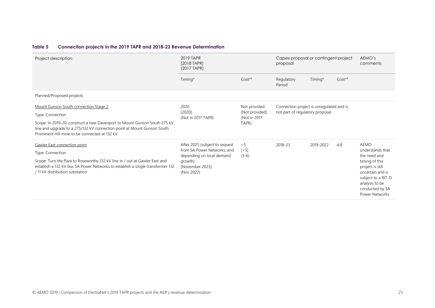#### **Table 5 Connection projects in the 2019 TAPR and 2018-23 Revenue Determination**

<span id="page-24-0"></span>

| Project description                                                                                                                                                                                                                                                | 2019 TAPR<br>[2018 TAPR]<br>(2017 TAPR)                                                                                                |                                                         | Capex proposal or contingent project<br>proposal                             |           |          | AEMO's<br>comments                                                                                                                                                               |
|--------------------------------------------------------------------------------------------------------------------------------------------------------------------------------------------------------------------------------------------------------------------|----------------------------------------------------------------------------------------------------------------------------------------|---------------------------------------------------------|------------------------------------------------------------------------------|-----------|----------|----------------------------------------------------------------------------------------------------------------------------------------------------------------------------------|
|                                                                                                                                                                                                                                                                    | Timing*                                                                                                                                | $Cost**$                                                | Regulatory<br>Period                                                         | Timing*   | $Cost**$ |                                                                                                                                                                                  |
| Planned/Proposed projects                                                                                                                                                                                                                                          |                                                                                                                                        |                                                         |                                                                              |           |          |                                                                                                                                                                                  |
| Mount Gunson South connection Stage 2<br>Type: Connection<br>Scope: In 2019-20, construct a new Davenport to Mount Gunson South 275 kV<br>line and upgrade to a 275/132 kV connection point at Mount Gunson South<br>Prominent Hill mine to be connected at 132 kV | 2020<br>[2020]<br>(Not in 2017 TAPR)                                                                                                   | Not provided<br>[Not provided]<br>(Not in 2017<br>TAPR) | Connection project is unregulated and is<br>not part of regulatory proposal. |           |          |                                                                                                                                                                                  |
| Gawler East connection point<br>Type: Connection<br>Scope: Turn the Para to Roseworthy 132 kV line in / out at Gawler East and<br>establish a 132 kV bus SA Power Networks to establish a single transformer 132<br>/ 11 kV distribution substation                | After 2025 (subject to request<br>from SA Power Networks, and<br>depending on local demand<br>growth)<br>[November 2023]<br>(Nov 2022) | < 5<br>$\lceil$ < 5]<br>$(3-6)$                         | 2018-23                                                                      | 2019-2022 | 4.8      | AEMO<br>understands that<br>the need and<br>timing of this<br>project is still<br>uncertain and is<br>subject to a RIT-D<br>analysis to be<br>conducted by SA<br>Power Networks. |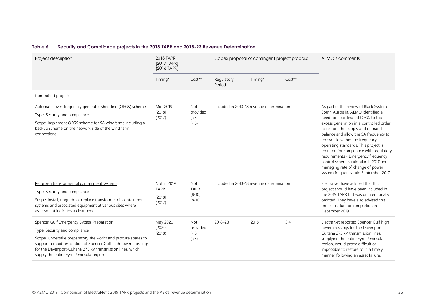#### **Table 6 Security and Compliance projects in the 2018 TAPR and 2018-23 Revenue Determination**

<span id="page-25-0"></span>

| Project description                                                                                                                                                                                                                                                                                                      | 2018 TAPR<br>[2017 TAPR]<br>(2016 TAPR)        |                                                 | Capex proposal or contingent project proposal |         |                                                                                                                                                                                                                                                                                                                                                                                                                                                                                                                         | AEMO's comments                                                                                                                                                                                                                                                            |
|--------------------------------------------------------------------------------------------------------------------------------------------------------------------------------------------------------------------------------------------------------------------------------------------------------------------------|------------------------------------------------|-------------------------------------------------|-----------------------------------------------|---------|-------------------------------------------------------------------------------------------------------------------------------------------------------------------------------------------------------------------------------------------------------------------------------------------------------------------------------------------------------------------------------------------------------------------------------------------------------------------------------------------------------------------------|----------------------------------------------------------------------------------------------------------------------------------------------------------------------------------------------------------------------------------------------------------------------------|
|                                                                                                                                                                                                                                                                                                                          | Timing*                                        | Cost**                                          | Regulatory<br>Period                          | Timing* | $Cost**$                                                                                                                                                                                                                                                                                                                                                                                                                                                                                                                |                                                                                                                                                                                                                                                                            |
| Committed projects                                                                                                                                                                                                                                                                                                       |                                                |                                                 |                                               |         |                                                                                                                                                                                                                                                                                                                                                                                                                                                                                                                         |                                                                                                                                                                                                                                                                            |
| Automatic over-frequency generator shedding (OFGS) scheme<br>Type: Security and compliance<br>Scope: Implement OFGS scheme for SA windfarms including a<br>backup scheme on the network side of the wind farm<br>connections.                                                                                            | Mid-2019<br>[2018]<br>(2017)                   | Not<br>provided<br>$[<5]$<br>(< 5)              | Included in 2013-18 revenue determination     |         | As part of the review of Black System<br>South Australia, AEMO identified a<br>need for coordinated OFGS to trip<br>excess generation in a controlled order<br>to restore the supply and demand<br>balance and allow the SA frequency to<br>recover to within the frequency<br>operating standards. This project is<br>required for compliance with regulatory<br>requirements - Emergency frequency<br>control schemes rule March 2017 and<br>managing rate of change of power<br>system frequency rule September 2017 |                                                                                                                                                                                                                                                                            |
| Refurbish transformer oil containment systems<br>Type: Security and compliance<br>Scope: Install, upgrade or replace transformer oil containment<br>systems and associated equipment at various sites where<br>assessment indicates a clear need.                                                                        | Not in 2019<br><b>TAPR</b><br>[2018]<br>(2017) | Not in<br><b>TAPR</b><br>$[8 - 10]$<br>$(8-10)$ | Included in 2013-18 revenue determination     |         |                                                                                                                                                                                                                                                                                                                                                                                                                                                                                                                         | ElectraNet have advised that this<br>project should have been included in<br>the 2019 TAPR but was unintentionally<br>omitted. They have also advised this<br>project is due for completion in<br>December 2019.                                                           |
| Spencer Gulf Emergency Bypass Preparation<br>Type: Security and compliance<br>Scope: Undertake preparatory site works and procure spares to<br>support a rapid restoration of Spencer Gulf high tower crossings<br>for the Davenport-Cultana 275 kV transmission lines, which<br>supply the entire Eyre Peninsula region | May 2020<br>[2020]<br>(2018)                   | Not<br>provided<br>$\lceil$ < 5]<br>(< 5)       | 2018-23                                       | 2018    | 3.4                                                                                                                                                                                                                                                                                                                                                                                                                                                                                                                     | ElectraNet reported Spencer Gulf high<br>tower crossings for the Davenport-<br>Cultana 275 kV transmission lines,<br>supplying the entire Eyre Peninsula<br>region, would prove difficult or<br>impossible to restore to in a timely<br>manner following an asset failure. |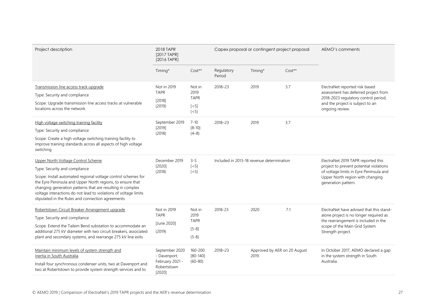| Project description                                                                                                                                                                                                                                                                                                                                                                       | 2018 TAPR<br>[2017 TAPR]<br>(2016 TAPR)                                    |                                                         |                      | Capex proposal or contingent project proposal |        | AEMO's comments                                                                                                                                                                     |
|-------------------------------------------------------------------------------------------------------------------------------------------------------------------------------------------------------------------------------------------------------------------------------------------------------------------------------------------------------------------------------------------|----------------------------------------------------------------------------|---------------------------------------------------------|----------------------|-----------------------------------------------|--------|-------------------------------------------------------------------------------------------------------------------------------------------------------------------------------------|
|                                                                                                                                                                                                                                                                                                                                                                                           | Timing*                                                                    | Cost**                                                  | Regulatory<br>Period | Timing*                                       | Cost** |                                                                                                                                                                                     |
| Transmission line access track upgrade<br>Type: Security and compliance<br>Scope: Upgrade transmission line access tracks at vulnerable<br>locations across the network                                                                                                                                                                                                                   | Not in 2019<br><b>TAPR</b><br>[2018]<br>(2019)                             | Not in<br>2019<br><b>TAPR</b><br>$\lceil$ < 5]<br>(< 5) | 2018-23              | 2019                                          | 3.7    | ElectraNet reported risk based<br>assessment has deferred project from<br>2018-2023 regulatory control period,<br>and the project is subject to an<br>ongoing review.               |
| High voltage switching training facility<br>Type: Security and compliance<br>Scope: Create a high voltage switching training facility to<br>improve training standards across all aspects of high voltage<br>switching                                                                                                                                                                    | September 2019<br>[2019]<br>(2018)                                         | $7 - 10$<br>$[8 - 10]$<br>$(4-8)$                       | 2018-23              | 2019                                          | 3.7    |                                                                                                                                                                                     |
| Upper North Voltage Control Scheme<br>Type: Security and compliance<br>Scope: Install automated regional voltage control schemes for<br>the Eyre Peninsula and Upper North regions, to ensure that<br>changing generation patterns that are resulting in complex<br>voltage interactions do not lead to violations of voltage limits<br>stipulated in the Rules and connection agreements | December 2019<br>[2020]<br>(2018)                                          | $3 - 5$<br>$\left[ < 5 \right]$<br>(< 5)                |                      | Included in 2013-18 revenue determination     |        | ElectraNet 2019 TAPR reported this<br>project to prevent potential violations<br>of voltage limits in Eyre Peninsula and<br>Upper North region with changing<br>generation pattern. |
| Robertstown Circuit Breaker Arrangement upgrade<br>Type: Security and compliance<br>Scope: Extend the Tailem Bend substation to accommodate an<br>additional 275 kV diameter with two circuit breakers, associated<br>plant and secondary systems, and rearrange 275 kV line exits                                                                                                        | Not in 2019<br><b>TAPR</b><br>[June 2020]<br>(2019)                        | Not in<br>2019<br><b>TAPR</b><br>$[5-8]$<br>$(5-8)$     | 2018-23              | 2020                                          | 7.1    | ElectraNet have advised that this stand-<br>alone project is no longer required as<br>the rearrangement is included in the<br>scope of the Main Grid System<br>Strength project.    |
| Maintain minimum levels of system strength and<br>inertia in South Australia<br>Install four synchronous condenser units, two at Davenport and<br>two at Robertstown to provide system strength services and to                                                                                                                                                                           | September 2020<br>- Davenport,<br>February 2021 -<br>Robertstown<br>[2020] | 160-200<br>$[80 - 140]$<br>$(60 - 80)$                  | 2018-23              | Approved by AER on 20 August<br>2019.         |        | In October 2017, AEMO declared a gap<br>in the system strength in South<br>Australia.                                                                                               |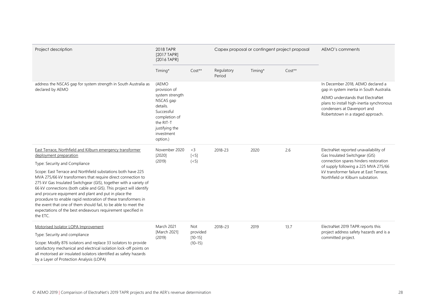| Project description                                                                                                                                                                                                                                                                                                                                                                                                                                                                                                                                                                                                                                                      | 2018 TAPR<br>[2017 TAPR]<br>(2016 TAPR)                                                                                                                   |                                             |                      | Capex proposal or contingent project proposal |          | AEMO's comments                                                                                                                                                                                                                          |
|--------------------------------------------------------------------------------------------------------------------------------------------------------------------------------------------------------------------------------------------------------------------------------------------------------------------------------------------------------------------------------------------------------------------------------------------------------------------------------------------------------------------------------------------------------------------------------------------------------------------------------------------------------------------------|-----------------------------------------------------------------------------------------------------------------------------------------------------------|---------------------------------------------|----------------------|-----------------------------------------------|----------|------------------------------------------------------------------------------------------------------------------------------------------------------------------------------------------------------------------------------------------|
|                                                                                                                                                                                                                                                                                                                                                                                                                                                                                                                                                                                                                                                                          | Timing*                                                                                                                                                   | $Cost**$                                    | Regulatory<br>Period | Timing*                                       | $Cost**$ |                                                                                                                                                                                                                                          |
| address the NSCAS gap for system strength in South Australia as<br>declared by AEMO                                                                                                                                                                                                                                                                                                                                                                                                                                                                                                                                                                                      | (AEMO<br>provision of<br>system strength<br>NSCAS gap<br>details.<br>Successful<br>completion of<br>the RIT-T<br>justifying the<br>investment<br>option.) |                                             |                      |                                               |          | In December 2018, AEMO declared a<br>gap in system inertia in South Australia.<br>AEMO understands that ElectraNet<br>plans to install high-inertia synchronous<br>condensers at Davenport and<br>Robertstown in a staged approach.      |
| East Terrace, Northfield and Kilburn emergency transformer<br>deployment preparation<br>Type: Security and Compliance<br>Scope: East Terrace and Northfield substations both have 225<br>MVA 275/66 kV transformers that require direct connection to<br>275 kV Gas Insulated Switchgear (GIS), together with a variety of<br>66 kV connections (both cable and GIS). This project will identify<br>and procure equipment and plant and put in place the<br>procedure to enable rapid restoration of these transformers in<br>the event that one of them should fail, to be able to meet the<br>expectations of the best endeavours requirement specified in<br>the ETC. | November 2020<br>[2020]<br>(2019)                                                                                                                         | $<$ 3<br>$[<5]$<br>(< 5)                    | 2018-23              | 2020                                          | 2.6      | ElectraNet reported unavailability of<br>Gas Insulated Switchgear (GIS)<br>connection spares hinders restoration<br>of supply following a 225 MVA 275/66<br>kV transformer failure at East Terrace.<br>Northfield or Kilburn substation. |
| Motorised Isolator LOPA Improvement<br>Type: Security and compliance<br>Scope: Modify 876 isolators and replace 33 isolators to provide<br>satisfactory mechanical and electrical isolation lock-off points on<br>all motorised air insulated isolators identified as safety hazards<br>by a Layer of Protection Analysis (LOPA)                                                                                                                                                                                                                                                                                                                                         | March 2021<br>[March 2021]<br>(2019)                                                                                                                      | Not<br>provided<br>$[10 - 15]$<br>$(10-15)$ | 2018-23              | 2019                                          | 13.7     | ElectraNet 2019 TAPR reports this<br>project address safety hazards and is a<br>committed project.                                                                                                                                       |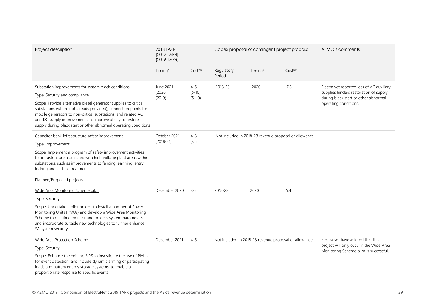| Project description                                                                                                                                                                                                                                                                                                                                                                                                           | 2018 TAPR<br>[2017 TAPR]<br>(2016 TAPR) |                                     | Capex proposal or contingent project proposal |                                                       | AEMO's comments |                                                                                                                                                     |
|-------------------------------------------------------------------------------------------------------------------------------------------------------------------------------------------------------------------------------------------------------------------------------------------------------------------------------------------------------------------------------------------------------------------------------|-----------------------------------------|-------------------------------------|-----------------------------------------------|-------------------------------------------------------|-----------------|-----------------------------------------------------------------------------------------------------------------------------------------------------|
|                                                                                                                                                                                                                                                                                                                                                                                                                               | Timing*                                 | $Cost**$                            | Regulatory<br>Period                          | Timing*                                               | $Cost**$        |                                                                                                                                                     |
| Substation improvements for system black conditions<br>Type: Security and compliance<br>Scope: Provide alternative diesel generator supplies to critical<br>substations (where not already provided), connection points for<br>mobile generators to non-critical substations, and related AC<br>and DC supply improvements, to improve ability to restore<br>supply during black start or other abnormal operating conditions | June 2021<br>[2020]<br>(2019)           | $4 - 6$<br>$[5 - 10]$<br>$(5 - 10)$ | 2018-23                                       | 2020                                                  | 7.8             | ElectraNet reported loss of AC auxiliary<br>supplies hinders restoration of supply<br>during black start or other abnormal<br>operating conditions. |
| Capacitor bank infrastructure safety improvement<br>Type: Improvement<br>Scope: Implement a program of safety improvement activities<br>for infrastructure associated with high voltage plant areas within<br>substations, such as improvements to fencing, earthing, entry<br>locking and surface treatment                                                                                                                  | October 2021<br>$[2018-21]$             | $4 - 8$<br>$\lceil$ < 5]            |                                               | Not included in 2018-23 revenue proposal or allowance |                 |                                                                                                                                                     |
| Planned/Proposed projects                                                                                                                                                                                                                                                                                                                                                                                                     |                                         |                                     |                                               |                                                       |                 |                                                                                                                                                     |
| Wide Area Monitoring Scheme pilot<br>Type: Security<br>Scope: Undertake a pilot project to install a number of Power<br>Monitoring Units (PMUs) and develop a Wide Area Monitoring<br>Scheme to real time monitor and process system parameters<br>and incorporate suitable new technologies to further enhance<br>SA system security                                                                                         | December 2020                           | $3 - 5$                             | 2018-23                                       | 2020                                                  | 5.4             |                                                                                                                                                     |
| Wide Area Protection Scheme<br>Type: Security<br>Scope: Enhance the existing SIPS to investigate the use of PMUs<br>for event detection, and include dynamic arming of participating<br>loads and battery energy storage systems, to enable a<br>proportionate response to specific events                                                                                                                                    | December 2021                           | $4 - 6$                             |                                               | Not included in 2018-23 revenue proposal or allowance |                 | ElectraNet have advised that this<br>project will only occur if the Wide Area<br>Monitoring Scheme pilot is successful.                             |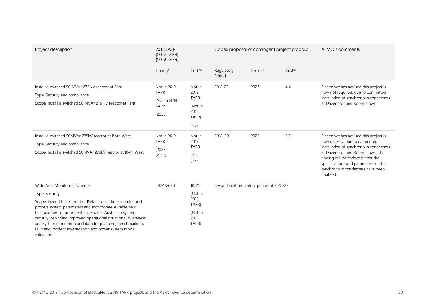| Project description                                                                                                                                                                                                                                                                                                                                                                                                                        | 2018 TAPR<br>[2017 TAPR]<br>(2016 TAPR)                                    |                                                                                |                      | Capex proposal or contingent project proposal | AEMO's comments |                                                                                                                                                                                                                                                                                          |
|--------------------------------------------------------------------------------------------------------------------------------------------------------------------------------------------------------------------------------------------------------------------------------------------------------------------------------------------------------------------------------------------------------------------------------------------|----------------------------------------------------------------------------|--------------------------------------------------------------------------------|----------------------|-----------------------------------------------|-----------------|------------------------------------------------------------------------------------------------------------------------------------------------------------------------------------------------------------------------------------------------------------------------------------------|
|                                                                                                                                                                                                                                                                                                                                                                                                                                            | Timing*                                                                    | $Cost**$                                                                       | Regulatory<br>Period | Timing*                                       | Cost**          |                                                                                                                                                                                                                                                                                          |
| Install a switched 50 MVAr 275 kV reactor at Para<br>Type: Security and compliance<br>Scope: Install a switched 50 MVAr 275 kV reactor at Para                                                                                                                                                                                                                                                                                             | Not in 2019<br><b>TAPR</b><br>[Not in 2018]<br>TAPR <sub>1</sub><br>(2023) | Not in<br>2019<br><b>TAPR</b><br>[Not in<br>2018<br>TAPR <sub>1</sub><br>(< 5) | 2018-23              | 2023                                          | 4.4             | ElectraNet has advised this project is<br>now not required, due to committed<br>installation of synchronous condensers<br>at Davenport and Robertstown.                                                                                                                                  |
| Install a switched 50MVAr 275kV reactor at Blyth West<br>Type: Security and compliance<br>Scope: Install a switched 50MVAr 275kV reactor at Blyth West                                                                                                                                                                                                                                                                                     | Not in 2019<br><b>TAPR</b><br>[2025]<br>(2021)                             | Not in<br>2019<br><b>TAPR</b><br>$\left[ < 5 \right]$<br>(< 5)                 | 2018-23              | 2022                                          | 3.5             | ElectraNet has advised this project is<br>now unlikely, due to committed<br>installation of synchronous condensers<br>at Davenport and Robertstown. This<br>finding will be reviewed after the<br>specifications and parameters of the<br>synchronous condensers have been<br>finalised. |
| Wide Area Monitoring Scheme<br>Type: Security<br>Scope: Extend the roll-out of PMUs to real time monitor and<br>process system parameters and incorporate suitable new<br>technologies to further enhance South Australian system<br>security, providing improved operational situational awareness<br>and system monitoring and data for planning, benchmarking,<br>fault and incident investigation and power system model<br>validation | 2024-2028                                                                  | $10 - 25$<br>[Not in<br>2018<br>TAPR <sub>1</sub><br>(Not in<br>2019<br>TAPR)  |                      | Beyond next regulatory period of 2018-23      |                 |                                                                                                                                                                                                                                                                                          |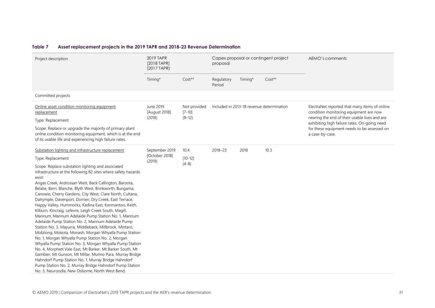#### **Table 7 Asset replacement projects in the 2019 TAPR and 2018-23 Revenue Determination**

<span id="page-30-0"></span>

| Project description                                                                                                                                                                                                                                                                                                                                                                                                                                                                                                                                                                                                                                                                                                                                                                                                                                                                                                                                                                                                                                                                                                                                                                                                    | 2019 TAPR<br>[2018 TAPR]<br>(2017 TAPR)    |                                        | Capex proposal or contingent project<br>proposal |         |          | AEMO's comments                                                                                                                                                                          |
|------------------------------------------------------------------------------------------------------------------------------------------------------------------------------------------------------------------------------------------------------------------------------------------------------------------------------------------------------------------------------------------------------------------------------------------------------------------------------------------------------------------------------------------------------------------------------------------------------------------------------------------------------------------------------------------------------------------------------------------------------------------------------------------------------------------------------------------------------------------------------------------------------------------------------------------------------------------------------------------------------------------------------------------------------------------------------------------------------------------------------------------------------------------------------------------------------------------------|--------------------------------------------|----------------------------------------|--------------------------------------------------|---------|----------|------------------------------------------------------------------------------------------------------------------------------------------------------------------------------------------|
|                                                                                                                                                                                                                                                                                                                                                                                                                                                                                                                                                                                                                                                                                                                                                                                                                                                                                                                                                                                                                                                                                                                                                                                                                        | Timing*                                    | Cost**                                 | Regulatory<br>Period                             | Timing* | $Cost**$ |                                                                                                                                                                                          |
| Committed projects                                                                                                                                                                                                                                                                                                                                                                                                                                                                                                                                                                                                                                                                                                                                                                                                                                                                                                                                                                                                                                                                                                                                                                                                     |                                            |                                        |                                                  |         |          |                                                                                                                                                                                          |
| Online asset condition monitoring equipment<br>replacement<br>Type: Replacement                                                                                                                                                                                                                                                                                                                                                                                                                                                                                                                                                                                                                                                                                                                                                                                                                                                                                                                                                                                                                                                                                                                                        | June 2019<br>[August 2018]<br>(2018)       | Not provided<br>$[7 - 10]$<br>$(8-12)$ | Included in 2013-18 revenue determination        |         |          | ElectraNet reported that many items of online<br>condition monitoring equipment are now<br>nearing the end of their usable lives and are<br>exhibiting high failure rates. On-going need |
| Scope: Replace or upgrade the majority of primary plant<br>online condition monitoring equipment, which is at the end<br>of its usable life and experiencing high failure rates.                                                                                                                                                                                                                                                                                                                                                                                                                                                                                                                                                                                                                                                                                                                                                                                                                                                                                                                                                                                                                                       |                                            |                                        |                                                  |         |          | for these equipment needs to be assessed on<br>a case-by-case.                                                                                                                           |
| Substation lighting and infrastructure replacement<br>Type: Replacement<br>Scope: Replace substation lighting and associated<br>infrastructure at the following 82 sites where safety hazards<br>exist:<br>Angas Creek, Ardrossan West, Back Callington, Baroota,<br>Belalie, Berri, Blanche, Blyth West, Brinkworth, Bungama,<br>Canowie, Cherry Gardens, City West, Clare North, Cultana,<br>Dalrymple, Davenport, Dorrien, Dry Creek, East Terrace,<br>Happy Valley, Hummocks, Kadina East, Kanmantoo, Keith,<br>Kilburn, Kincraig, Lefevre, Leigh Creek South, Magill,<br>Mannum, Mannum Adelaide Pump Station No. 1, Mannum<br>Adelaide Pump Station No. 2, Mannum Adelaide Pump<br>Station No. 3, Mayurra, Middleback, Millbrook, Mintaro,<br>Mobilong, Mokota, Monash, Morgan Whyalla Pump Station<br>No. 1, Morgan Whyalla Pump Station No. 2, Morgan<br>Whyalla Pump Station No. 3, Morgan Whyalla Pump Station<br>No. 4, Morphett Vale East, Mt Barker, Mt Barker South, Mt<br>Gambier, Mt Gunson, Mt Millar, Munno Para, Murray Bridge<br>Hahndorf Pump Station No. 1, Murray Bridge Hahndorf<br>Pump Station No. 2, Murray Bridge Hahndorf Pump Station<br>No. 3, Neuroodla, New Osborne, North West Bend, | September 2019<br>[October 2018]<br>(2019) | 10.4<br>$[10 - 12]$<br>$(4-8)$         | 2018-23                                          | 2018    | 10.3     |                                                                                                                                                                                          |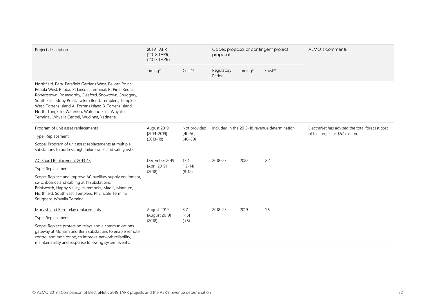| Project description                                                                                                                                                                                                                                                                                                                                                                                             | 2019 TAPR<br>[2018 TAPR]<br>(2017 TAPR) |                                            | proposal             |         | Capex proposal or contingent project          | AEMO's comments                                |  |
|-----------------------------------------------------------------------------------------------------------------------------------------------------------------------------------------------------------------------------------------------------------------------------------------------------------------------------------------------------------------------------------------------------------------|-----------------------------------------|--------------------------------------------|----------------------|---------|-----------------------------------------------|------------------------------------------------|--|
|                                                                                                                                                                                                                                                                                                                                                                                                                 | Timing*                                 | $Cost**$                                   | Regulatory<br>Period | Timing* | $Cost**$                                      |                                                |  |
| Northfield, Para, Parafield Gardens West, Pelican Point,<br>Penola West, Pimba, Pt Lincoln Terminal, Pt Pirie, Redhill,<br>Robertstown, Roseworthy, Sleaford, Snowtown, Snuggery,<br>South East, Stony Point, Tailem Bend, Templers, Templers<br>West, Torrens Island A, Torrens Island B, Torrens Island<br>North, Tungkillo, Waterloo, Waterloo East, Whyalla<br>Terminal, Whyalla Central, Wudinna, Yadnarie |                                         |                                            |                      |         |                                               |                                                |  |
| Program of unit asset replacements                                                                                                                                                                                                                                                                                                                                                                              | August 2019                             | Not provided<br>$[40 - 50]$<br>$(40 - 50)$ |                      |         | Included in the 2013-18 revenue determination | ElectraNet has advised the total forecast cost |  |
| Type: Replacement                                                                                                                                                                                                                                                                                                                                                                                               | $[2014 - 2019]$<br>$(2013 - 18)$        |                                            |                      |         |                                               | of this project is \$57 million.               |  |
| Scope: Program of unit asset replacements at multiple<br>substations to address high failure rates and safety risks.                                                                                                                                                                                                                                                                                            |                                         |                                            |                      |         |                                               |                                                |  |
| AC Board Replacement 2013-18                                                                                                                                                                                                                                                                                                                                                                                    | December 2019                           | 17.4                                       | 2018-23              | 2022    | 8.4                                           |                                                |  |
| Type: Replacement                                                                                                                                                                                                                                                                                                                                                                                               | [April 2019]<br>(2018)                  | $[12 - 14]$<br>$(8-12)$                    |                      |         |                                               |                                                |  |
| Scope: Replace and improve AC auxiliary supply equipment,<br>switchboards and cabling at 11 substations.<br>Brinkworth, Happy Velley, Hummocks, Magill, Mannum,<br>Northfield, South East, Templers, Pt Lincoln Terminal,<br>Snuggery, Whyalla Terminal                                                                                                                                                         |                                         |                                            |                      |         |                                               |                                                |  |
| Monash and Berri relay replacements                                                                                                                                                                                                                                                                                                                                                                             | August 2019                             | 3.7                                        | 2018-23              | 2019    | 1.5                                           |                                                |  |
| Type: Replacement                                                                                                                                                                                                                                                                                                                                                                                               | [August 2019]<br>(2018)                 | $\lceil$ < 5]<br>(< 5)                     |                      |         |                                               |                                                |  |
| Scope: Replace protection relays and a communications<br>gateway at Monash and Berri substations to enable remote<br>control and monitoring, to improve network reliability,<br>maintainability and response following system events.                                                                                                                                                                           |                                         |                                            |                      |         |                                               |                                                |  |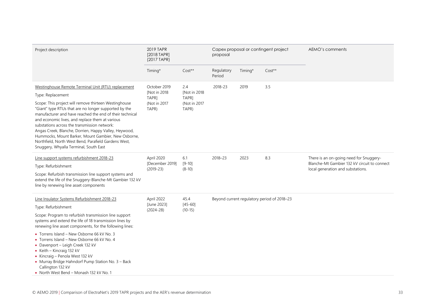| Project description                                                                                                                                                                                                                                                                                                                                                                                                                                                                                                                                                         | 2019 TAPR<br>[2018 TAPR]<br>(2017 TAPR)                                    |                                                       | Capex proposal or contingent project<br>proposal |         |                                             | AEMO's comments                                                                                                              |
|-----------------------------------------------------------------------------------------------------------------------------------------------------------------------------------------------------------------------------------------------------------------------------------------------------------------------------------------------------------------------------------------------------------------------------------------------------------------------------------------------------------------------------------------------------------------------------|----------------------------------------------------------------------------|-------------------------------------------------------|--------------------------------------------------|---------|---------------------------------------------|------------------------------------------------------------------------------------------------------------------------------|
|                                                                                                                                                                                                                                                                                                                                                                                                                                                                                                                                                                             | Timing*                                                                    | $Cost**$                                              | Regulatory<br>Period                             | Timing* | Cost**                                      |                                                                                                                              |
| Westinghouse Remote Terminal Unit (RTU) replacement<br>Type: Replacement<br>Scope: This project will remove thirteen Westinghouse<br>"Giant" type RTUs that are no longer supported by the<br>manufacturer and have reached the end of their technical<br>and economic lives, and replace them at various<br>substations across the transmission network:<br>Angas Creek, Blanche, Dorrien, Happy Valley, Heywood,<br>Hummocks, Mount Barker, Mount Gambier, New Osborne,<br>Northfield, North West Bend, Parafield Gardens West,<br>Snuggery, Whyalla Terminal, South East | October 2019<br>[Not in 2018<br>TAPR <sub>1</sub><br>(Not in 2017<br>TAPR) | 2.4<br>[Not in 2018<br>TAPR]<br>(Not in 2017<br>TAPR) | 2018-23                                          | 2019    | 3.5                                         |                                                                                                                              |
| Line support systems refurbishment 2018-23<br>Type: Refurbishment<br>Scope: Refurbish transmission line support systems and<br>extend the life of the Snuggery-Blanche-Mt Gambier 132 kV<br>line by renewing line asset components                                                                                                                                                                                                                                                                                                                                          | April 2020<br>[December 2019]<br>$(2019 - 23)$                             | 6.1<br>$[9-10]$<br>$(8-10)$                           | 2018-23                                          | 2023    | 8.3                                         | There is an on-going need for Snuggery-<br>Blanche-Mt Gambier 132 kV circuit to connect<br>local generation and substations. |
| Line Insulator Systems Refurbishment 2018-23<br>Type: Refurbishment<br>Scope: Program to refurbish transmission line support<br>systems and extend the life of 18 transmission lines by<br>renewing line asset components, for the following lines:<br>• Torrens Island - New Osborne 66 kV No. 3<br>• Torrens Island - New Osborne 66 kV No. 4<br>• Davenport - Leigh Creek 132 kV<br>• Keith - Kincraig 132 kV<br>• Kincraig - Penola West 132 kV<br>• Murray Bridge Hahndorf Pump Station No. 3 - Back<br>Callington 132 kV<br>• North West Bend - Monash 132 kV No. 1   | April 2022<br>[June 2023]<br>$(2024 - 28)$                                 | 45.4<br>$[45 - 60]$<br>$(10-15)$                      |                                                  |         | Beyond current regulatory period of 2018-23 |                                                                                                                              |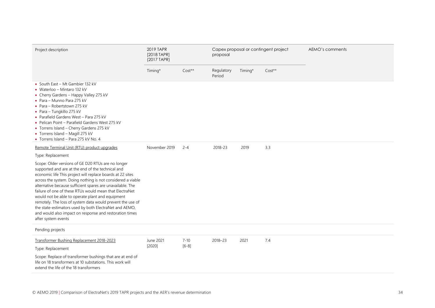| Project description                                                                                                                                                                                                                                                                                                                                                                                                                                                                                                                                                                                                         | 2019 TAPR<br>[2018 TAPR]<br>(2017 TAPR) |                     | Capex proposal or contingent project<br>proposal |         |        | AEMO's comments |
|-----------------------------------------------------------------------------------------------------------------------------------------------------------------------------------------------------------------------------------------------------------------------------------------------------------------------------------------------------------------------------------------------------------------------------------------------------------------------------------------------------------------------------------------------------------------------------------------------------------------------------|-----------------------------------------|---------------------|--------------------------------------------------|---------|--------|-----------------|
|                                                                                                                                                                                                                                                                                                                                                                                                                                                                                                                                                                                                                             | Timing*                                 | $Cost**$            | Regulatory<br>Period                             | Timing* | Cost** |                 |
| • South East - Mt Gambier 132 kV<br>• Waterloo - Mintaro 132 kV<br>• Cherry Gardens - Happy Valley 275 kV<br>• Para - Munno Para 275 kV<br>• Para - Robertstown 275 kV<br>• Para - Tungkillo 275 kV<br>• Parafield Gardens West - Para 275 kV<br>• Pelican Point - Parafield Gardens West 275 kV<br>• Torrens Island - Cherry Gardens 275 kV<br>• Torrens Island - Magill 275 kV<br>• Torrens Island - Para 275 kV No. 4                                                                                                                                                                                                    |                                         |                     |                                                  |         |        |                 |
| Remote Terminal Unit (RTU) product upgrades                                                                                                                                                                                                                                                                                                                                                                                                                                                                                                                                                                                 | November 2019                           | $2 - 4$             | 2018-23                                          | 2019    | 3.3    |                 |
| Type: Replacement                                                                                                                                                                                                                                                                                                                                                                                                                                                                                                                                                                                                           |                                         |                     |                                                  |         |        |                 |
| Scope: Older versions of GE D20 RTUs are no longer<br>supported and are at the end of the technical and<br>economic life This project will replace boards at 22 sites<br>across the system. Doing nothing is not considered a viable<br>alternative because sufficient spares are unavailable. The<br>failure of one of these RTUs would mean that ElectraNet<br>would not be able to operate plant and equipment<br>remotely. The loss of system data would prevent the use of<br>the state-estimators used by both ElectraNet and AEMO,<br>and would also impact on response and restoration times<br>after system events |                                         |                     |                                                  |         |        |                 |
| Pending projects                                                                                                                                                                                                                                                                                                                                                                                                                                                                                                                                                                                                            |                                         |                     |                                                  |         |        |                 |
| Transformer Bushing Replacement 2018-2023<br>Type: Replacement<br>Scope: Replace of transformer bushings that are at end of<br>life on 18 transformers at 10 substations. This work will<br>extend the life of the 18 transformers                                                                                                                                                                                                                                                                                                                                                                                          | June 2021<br>[2020]                     | $7 - 10$<br>$[6-8]$ | 2018-23                                          | 2021    | 7.4    |                 |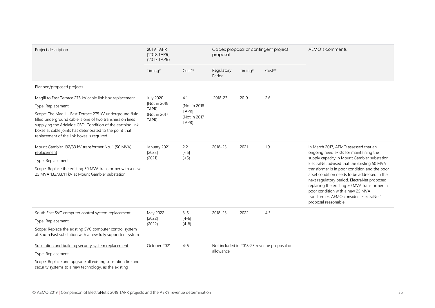| Project description                                                                                                                                                                                                                                                                            | 2019 TAPR<br>[2018 TAPR]<br>(2017 TAPR) |                                                                                                           | proposal             |         | Capex proposal or contingent project        | AEMO's comments                                                                                                                                                                                                                                                                                                                                     |
|------------------------------------------------------------------------------------------------------------------------------------------------------------------------------------------------------------------------------------------------------------------------------------------------|-----------------------------------------|-----------------------------------------------------------------------------------------------------------|----------------------|---------|---------------------------------------------|-----------------------------------------------------------------------------------------------------------------------------------------------------------------------------------------------------------------------------------------------------------------------------------------------------------------------------------------------------|
|                                                                                                                                                                                                                                                                                                | Timing*                                 | Cost**                                                                                                    | Regulatory<br>Period | Timing* | Cost**                                      |                                                                                                                                                                                                                                                                                                                                                     |
| Planned/proposed projects                                                                                                                                                                                                                                                                      |                                         |                                                                                                           |                      |         |                                             |                                                                                                                                                                                                                                                                                                                                                     |
| Magill to East Terrace 275 kV cable link box replacement                                                                                                                                                                                                                                       | <b>July 2020</b>                        | 4.1<br>[Not in 2018]<br>[Not in 2018]<br>TAPR]<br>TAPR1<br>(Not in 2017<br>(Not in 2017<br>TAPR)<br>TAPR) | 2018-23              | 2019    | 2.6                                         |                                                                                                                                                                                                                                                                                                                                                     |
| Type: Replacement                                                                                                                                                                                                                                                                              |                                         |                                                                                                           |                      |         |                                             |                                                                                                                                                                                                                                                                                                                                                     |
| Scope: The Magill - East Terrace 275 kV underground fluid-<br>filled underground cable is one of two transmission lines<br>supplying the Adelaide CBD. Condition of the earthing link<br>boxes at cable joints has deteriorated to the point that<br>replacement of the link boxes is required |                                         |                                                                                                           |                      |         |                                             |                                                                                                                                                                                                                                                                                                                                                     |
| Mount Gambier 132/33 kV transformer No. 1 (50 MVA)<br>replacement                                                                                                                                                                                                                              | January 2021<br>[2023]                  | 2.2<br>$[<5]$                                                                                             | 2018-23              | 2021    | 1.9                                         | In March 2017, AEMO assessed that an<br>ongoing need exists for maintaining the                                                                                                                                                                                                                                                                     |
| Type: Replacement                                                                                                                                                                                                                                                                              | (2021)                                  | (< 5)                                                                                                     |                      |         |                                             | supply capacity in Mount Gambier substation.                                                                                                                                                                                                                                                                                                        |
| Scope: Replace the existing 50 MVA transformer with a new<br>25 MVA 132/33/11 kV at Mount Gambier substation.                                                                                                                                                                                  |                                         |                                                                                                           |                      |         |                                             | ElectraNet advised that the existing 50 MVA<br>transformer is in poor condition and the poor<br>asset condition needs to be addressed in the<br>next regulatory period. ElectraNet proposed<br>replacing the existing 50 MVA transformer in<br>poor condition with a new 25 MVA<br>transformer. AEMO considers ElectraNet's<br>proposal reasonable. |
| South East SVC computer control system replacement                                                                                                                                                                                                                                             | May 2022                                | $3 - 6$                                                                                                   | 2018-23              | 2022    | 4.3                                         |                                                                                                                                                                                                                                                                                                                                                     |
| Type: Replacement                                                                                                                                                                                                                                                                              | [2022]<br>(2022)                        | $[4-6]$<br>$(4-8)$                                                                                        |                      |         |                                             |                                                                                                                                                                                                                                                                                                                                                     |
| Scope: Replace the existing SVC computer control system<br>at South East substation with a new fully supported system                                                                                                                                                                          |                                         |                                                                                                           |                      |         |                                             |                                                                                                                                                                                                                                                                                                                                                     |
| Substation and building security system replacement                                                                                                                                                                                                                                            | October 2021                            | $4 - 6$                                                                                                   |                      |         | Not included in 2018-23 revenue proposal or |                                                                                                                                                                                                                                                                                                                                                     |
| Type: Replacement                                                                                                                                                                                                                                                                              |                                         |                                                                                                           | allowance            |         |                                             |                                                                                                                                                                                                                                                                                                                                                     |
| Scope: Replace and upgrade all existing substation fire and<br>security systems to a new technology, as the existing                                                                                                                                                                           |                                         |                                                                                                           |                      |         |                                             |                                                                                                                                                                                                                                                                                                                                                     |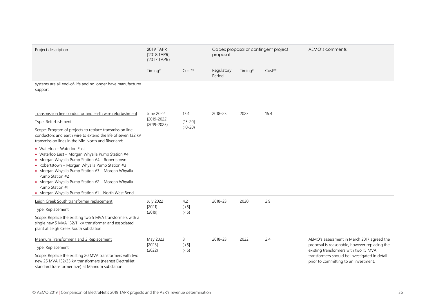| Project description                                                                                                                                                                                                                                                                                                                                                                      | 2019 TAPR<br>[2018 TAPR]<br>(2017 TAPR) |                               | proposal             |         | Capex proposal or contingent project | AEMO's comments                                                                                                                 |
|------------------------------------------------------------------------------------------------------------------------------------------------------------------------------------------------------------------------------------------------------------------------------------------------------------------------------------------------------------------------------------------|-----------------------------------------|-------------------------------|----------------------|---------|--------------------------------------|---------------------------------------------------------------------------------------------------------------------------------|
|                                                                                                                                                                                                                                                                                                                                                                                          | Timing*                                 | Cost**                        | Regulatory<br>Period | Timing* | $Cost**$                             |                                                                                                                                 |
| systems are all end-of-life and no longer have manufacturer<br>support                                                                                                                                                                                                                                                                                                                   |                                         |                               |                      |         |                                      |                                                                                                                                 |
| Transmission line conductor and earth wire refurbishment                                                                                                                                                                                                                                                                                                                                 | June 2022<br>[2019-2022]                | 17.4                          | 2018-23              | 2023    | 16.4                                 |                                                                                                                                 |
| Type: Refurbishment                                                                                                                                                                                                                                                                                                                                                                      | $(2019 - 2023)$                         | $[15 - 20]$                   |                      |         |                                      |                                                                                                                                 |
| Scope: Program of projects to replace transmission line<br>conductors and earth wire to extend the life of seven 132 kV<br>transmission lines in the Mid North and Riverland:                                                                                                                                                                                                            |                                         | $(10-20)$                     |                      |         |                                      |                                                                                                                                 |
| • Waterloo - Waterloo East<br>• Waterloo East - Morgan Whyalla Pump Station #4<br>• Morgan Whyalla Pump Station #4 - Robertstown<br>• Robertstown - Morgan Whyalla Pump Station #3<br>• Morgan Whyalla Pump Station #3 - Morgan Whyalla<br>Pump Station #2<br>• Morgan Whyalla Pump Station #2 - Morgan Whyalla<br>Pump Station #1<br>• Morgan Whyalla Pump Station #1 - North West Bend |                                         |                               |                      |         |                                      |                                                                                                                                 |
| Leigh Creek South transformer replacement                                                                                                                                                                                                                                                                                                                                                | <b>July 2022</b>                        | 4.2                           | 2018-23              | 2020    | 2.9                                  |                                                                                                                                 |
| Type: Replacement                                                                                                                                                                                                                                                                                                                                                                        | [2021]<br>(2019)                        | $\left[ < 5 \right]$<br>(< 5) |                      |         |                                      |                                                                                                                                 |
| Scope: Replace the existing two 5 MVA transformers with a<br>single new 5 MVA 132/11 kV transformer and associated<br>plant at Leigh Creek South substation                                                                                                                                                                                                                              |                                         |                               |                      |         |                                      |                                                                                                                                 |
| Mannum Transformer 1 and 2 Replacement                                                                                                                                                                                                                                                                                                                                                   | May 2023                                | 3                             | 2018-23              | 2022    | 2.4                                  | AEMO's assessment in March 2017 agreed the                                                                                      |
| Type: Replacement                                                                                                                                                                                                                                                                                                                                                                        | [2023]                                  | $[<5]$                        |                      |         |                                      | proposal is reasonable, however replacing the                                                                                   |
| Scope: Replace the existing 20 MVA transformers with two<br>new 25 MVA 132/33 kV transformers (nearest ElectraNet<br>standard transformer size) at Mannum substation.                                                                                                                                                                                                                    | (2022)                                  | (< 5)                         |                      |         |                                      | existing transformers with two 15 MVA<br>transformers should be investigated in detail<br>prior to committing to an investment. |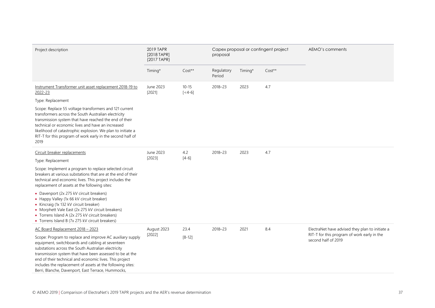| Project description                                                                                                                                                                                                                                                                                                                                                                                             | 2019 TAPR<br>[2018 TAPR]<br>(2017 TAPR) |                       | proposal             |         | Capex proposal or contingent project | AEMO's comments                                                    |
|-----------------------------------------------------------------------------------------------------------------------------------------------------------------------------------------------------------------------------------------------------------------------------------------------------------------------------------------------------------------------------------------------------------------|-----------------------------------------|-----------------------|----------------------|---------|--------------------------------------|--------------------------------------------------------------------|
|                                                                                                                                                                                                                                                                                                                                                                                                                 | Timing*                                 | $Cost**$              | Regulatory<br>Period | Timing* | Cost**                               |                                                                    |
| Instrument Transformer unit asset replacement 2018-19 to<br>2022-23                                                                                                                                                                                                                                                                                                                                             | June 2023<br>[2021]                     | $10 - 15$<br>$[-4-6]$ | 2018-23              | 2023    | 4.7                                  |                                                                    |
| Type: Replacement<br>Scope: Replace 55 voltage transformers and 121 current<br>transformers across the South Australian electricity<br>transmission system that have reached the end of their<br>technical or economic lives and have an increased                                                                                                                                                              |                                         |                       |                      |         |                                      |                                                                    |
| likelihood of catastrophic explosion. We plan to initiate a<br>RIT-T for this program of work early in the second half of<br>2019                                                                                                                                                                                                                                                                               |                                         |                       |                      |         |                                      |                                                                    |
| Circuit breaker replacements<br>Type: Replacement                                                                                                                                                                                                                                                                                                                                                               | June 2023<br>[2023]                     | 4.2<br>$[4-6]$        | 2018-23              | 2023    | 4.7                                  |                                                                    |
| Scope: Implement a program to replace selected circuit<br>breakers at various substations that are at the end of their<br>technical and economic lives. This project includes the<br>replacement of assets at the following sites:                                                                                                                                                                              |                                         |                       |                      |         |                                      |                                                                    |
| • Davenport (2x 275 kV circuit breakers)<br>• Happy Valley (1x 66 kV circuit breaker)<br>• Kincraig (1x 132 kV circuit breaker)<br>• Morphett Vale East (2x 275 kV circuit breakers)<br>• Torrens Island A (2x 275 kV circuit breakers)<br>• Torrens Island B (7x 275 kV circuit breakers)                                                                                                                      |                                         |                       |                      |         |                                      |                                                                    |
| AC Board Replacement 2018 - 2023                                                                                                                                                                                                                                                                                                                                                                                | August 2023                             | 23.4                  | 2018-23              | 2021    | 8.4                                  | ElectraNet have advised they plan to initiate a                    |
| Scope: Program to replace and improve AC auxiliary supply<br>equipment, switchboards and cabling at seventeen<br>substations across the South Australian electricity<br>transmission system that have been assessed to be at the<br>end of their technical and economic lives. This project<br>includes the replacement of assets at the following sites:<br>Berri, Blanche, Davenport, East Terrace, Hummocks, | [2022]                                  | $[8 - 12]$            |                      |         |                                      | RIT-T for this program of work early in the<br>second half of 2019 |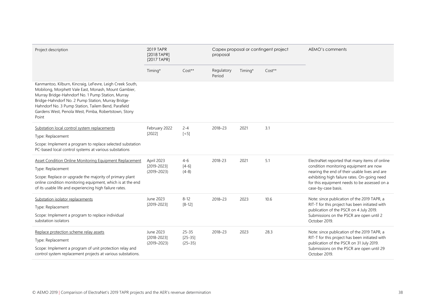| Project description                                                                                                                                                                                                                                                                                                                                  | 2019 TAPR<br>[2018 TAPR]<br>(2017 TAPR) |                            | proposal             |         | Capex proposal or contingent project | AEMO's comments                                                                                                                          |
|------------------------------------------------------------------------------------------------------------------------------------------------------------------------------------------------------------------------------------------------------------------------------------------------------------------------------------------------------|-----------------------------------------|----------------------------|----------------------|---------|--------------------------------------|------------------------------------------------------------------------------------------------------------------------------------------|
|                                                                                                                                                                                                                                                                                                                                                      | Timing*                                 | $Cost**$                   | Regulatory<br>Period | Timing* | $Cost**$                             |                                                                                                                                          |
| Kanmantoo, Kilburn, Kincraig, LeFevre, Leigh Creek South,<br>Mobilong, Morphett Vale East, Monash, Mount Gambier,<br>Murray Bridge-Hahndorf No. 1 Pump Station, Murray<br>Bridge-Hahndorf No. 2 Pump Station, Murray Bridge-<br>Hahndorf No. 3 Pump Station, Tailem Bend, Parafield<br>Gardens West, Penola West, Pimba, Robertstown, Stony<br>Point |                                         |                            |                      |         |                                      |                                                                                                                                          |
| Substation local control system replacements                                                                                                                                                                                                                                                                                                         | February 2022                           | $2 - 4$                    | 2018-23              | 2021    | 3.1                                  |                                                                                                                                          |
| Type: Replacement                                                                                                                                                                                                                                                                                                                                    | [2022]                                  | $\lceil$ < 5]              |                      |         |                                      |                                                                                                                                          |
| Scope: Implement a program to replace selected substation<br>PC-based local control systems at various substations                                                                                                                                                                                                                                   |                                         |                            |                      |         |                                      |                                                                                                                                          |
| Asset Condition Online Monitoring Equipment Replacement                                                                                                                                                                                                                                                                                              | April 2023                              | $4-6$                      | 2018-23              | 2021    | 5.1                                  | ElectraNet reported that many items of online<br>condition monitoring equipment are now<br>nearing the end of their usable lives and are |
| Type: Replacement                                                                                                                                                                                                                                                                                                                                    | $[2019 - 2023]$<br>$(2019 - 2023)$      | $[4-6]$<br>$(4-8)$         |                      |         |                                      |                                                                                                                                          |
| Scope: Replace or upgrade the majority of primary plant<br>online condition monitoring equipment, which is at the end<br>of its usable life and experiencing high failure rates.                                                                                                                                                                     |                                         |                            |                      |         |                                      | exhibiting high failure rates. On-going need<br>for this equipment needs to be assessed on a<br>case-by-case basis.                      |
| Substation isolator replacements                                                                                                                                                                                                                                                                                                                     | June 2023                               | $8 - 12$                   | 2018-23              | 2023    | 10.6                                 | Note: since publication of the 2019 TAPR, a                                                                                              |
| Type: Replacement                                                                                                                                                                                                                                                                                                                                    | [2019-2023]                             | $[8-12]$                   |                      |         |                                      | RIT-T for this project has been initiated with<br>publication of the PSCR on 4 July 2019.                                                |
| Scope: Implement a program to replace individual<br>substation isolators                                                                                                                                                                                                                                                                             |                                         |                            |                      |         |                                      | Submissions on the PSCR are open until 2<br>October 2019.                                                                                |
| Replace protection scheme relay assets                                                                                                                                                                                                                                                                                                               | June 2023                               | $25 - 35$                  | 2018-23              | 2023    | 28.3                                 | Note: since publication of the 2019 TAPR, a                                                                                              |
| Type: Replacement                                                                                                                                                                                                                                                                                                                                    | $[2018 - 2023]$<br>$(2019 - 2023)$      | $[25 - 35]$<br>$(25 - 35)$ |                      |         |                                      | RIT-T for this project has been initiated with<br>publication of the PSCR on 31 July 2019.                                               |
| Scope: Implement a program of unit protection relay and<br>control system replacement projects at various substations.                                                                                                                                                                                                                               |                                         |                            |                      |         |                                      | Submissions on the PSCR are open until 29<br>October 2019.                                                                               |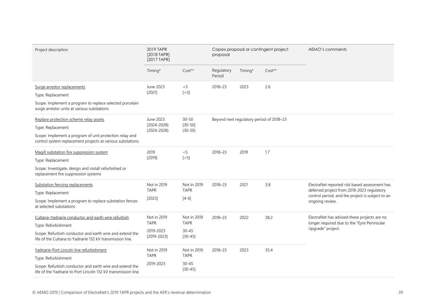| Project description                                                                                                                                                                                 | 2019 TAPR<br>[2018 TAPR]<br>(2017 TAPR)                    |                                                      | proposal             |         | Capex proposal or contingent project     | AEMO's comments                                                                                                                                                    |
|-----------------------------------------------------------------------------------------------------------------------------------------------------------------------------------------------------|------------------------------------------------------------|------------------------------------------------------|----------------------|---------|------------------------------------------|--------------------------------------------------------------------------------------------------------------------------------------------------------------------|
|                                                                                                                                                                                                     | Timing*                                                    | $Cost**$                                             | Regulatory<br>Period | Timing* | $Cost**$                                 |                                                                                                                                                                    |
| Surge arrestor replacements<br>Type: Replacement<br>Scope: Implement a program to replace selected porcelain<br>surge arrestor units at various substations                                         | June 2023<br>[2021]                                        | $<$ 3<br>$[-5]$                                      | 2018-23              | 2023    | 2.6                                      |                                                                                                                                                                    |
| Replace protection scheme relay assets<br>Type: Replacement<br>Scope: Implement a program of unit protection relay and<br>control system replacement projects at various substations.               | June 2023<br>[2024-2028]<br>$(2024 - 2028)$                | $30 - 50$<br>$[30 - 50]$<br>$(30-50)$                |                      |         | Beyond next regulatory period of 2018-23 |                                                                                                                                                                    |
| Magill substation fire suppression system<br>Type: Replacement<br>Scope: Investigate, design and install refurbished or<br>replacement fire suppression systems                                     | 2019<br>[2019]                                             | < 5<br>$\left[ < 5 \right]$                          | 2018-23              | 2019    | 1.7                                      |                                                                                                                                                                    |
| Substation fencing replacements<br>Type: Replacement<br>Scope: Implement a program to replace substation fences<br>at selected substations                                                          | Not in 2019<br><b>TAPR</b><br>[2023]                       | Not in 2019<br><b>TAPR</b><br>$[4-6]$                | 2018-23              | 2021    | 3.8                                      | ElectraNet reported risk based assessment has<br>deferred project from 2018-2023 regulatory<br>control period, and the project is subject to an<br>ongoing review. |
| Cultana-Yadnarie conductor and earth wire refurbish<br>Type: Refurbishment<br>Scope: Refurbish conductor and earth wire and extend the<br>life of the Cultana to Yadnarie 132 kV transmission line. | Not in 2019<br><b>TAPR</b><br>2019-2023<br>$[2019 - 2023]$ | Not in 2019<br><b>TAPR</b><br>$30 - 45$<br>$[30-45]$ | 2018-23              | 2022    | 38.2                                     | ElectraNet has advised these projects are no<br>longer required due to the "Eyre Peninsular<br>Upgrade" project.                                                   |
| Yadnarie-Port Lincoln line refurbishment<br>Type: Refurbishment<br>Scope: Refurbish conductor and earth wire and extend the<br>life of the Yadnarie to Port Lincoln 132 kV transmission line.       | Not in 2019<br><b>TAPR</b><br>2019-2023                    | Not in 2019<br><b>TAPR</b><br>$30 - 45$<br>$[30-45]$ | 2018-23              | 2023    | 35.4                                     |                                                                                                                                                                    |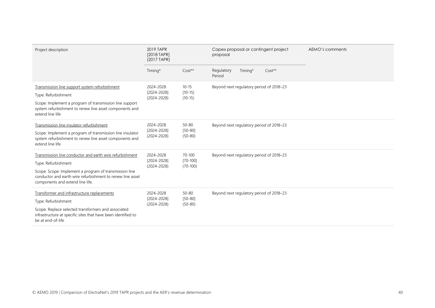| Project description                                                                                                                                                                                                                         | 2019 TAPR<br>[2018 TAPR]<br>(2017 TAPR)     |                                         | Capex proposal or contingent project<br>proposal | AEMO's comments |
|---------------------------------------------------------------------------------------------------------------------------------------------------------------------------------------------------------------------------------------------|---------------------------------------------|-----------------------------------------|--------------------------------------------------|-----------------|
|                                                                                                                                                                                                                                             | Timing*                                     | $Cost**$                                | Timing*<br>$Cost**$<br>Regulatory<br>Period      |                 |
| Transmission line support system refurbishment<br>Type: Refurbishment<br>Scope: Implement a program of transmission line support<br>system refurbishment to renew line asset components and<br>extend line life                             | 2024-2028<br>[2024-2028]<br>$(2024 - 2028)$ | $10 - 15$<br>$[10-15]$<br>$(10-15)$     | Beyond next regulatory period of 2018-23         |                 |
| Transmission line insulator refurbishment<br>Scope: Implement a program of transmission line insulator<br>system refurbishment to renew line asset components and<br>extend line life                                                       | 2024-2028<br>[2024-2028]<br>$(2024 - 2028)$ | $50 - 80$<br>$[50-80]$<br>$(50 - 80)$   | Beyond next regulatory period of 2018-23         |                 |
| Transmission line conductor and earth wire refurbishment<br>Type: Refurbishment<br>Scope: Scope: Implement a program of transmission line<br>conductor and earth wire refurbishment to renew line asset<br>components and extend line life. | 2024-2028<br>[2024-2028]<br>$(2024 - 2028)$ | 70-100<br>$[70-100]$<br>$(70-100)$      | Beyond next regulatory period of 2018-23         |                 |
| Transformer and infrastructure replacements<br>Type: Refurbishment<br>Scope: Replace selected transformers and associated<br>infrastructure at specific sites that have been identified to<br>be at end-of-life                             | 2024-2028<br>[2024-2028]<br>$(2024 - 2028)$ | $50 - 80$<br>$[50 - 80]$<br>$(50 - 80)$ | Beyond next regulatory period of 2018-23         |                 |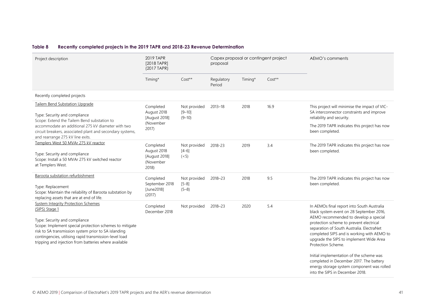#### **Table 8 Recently completed projects in the 2019 TAPR and 2018-23 Revenue Determination**

<span id="page-40-0"></span>

| Project description                                                                                                                                                                                                                                                                                                                 | 2019 TAPR<br>[2018 TAPR]<br>(2017 TAPR)                         |                                          | Capex proposal or contingent project<br>proposal |         | AEMO's comments |                                                                                                                                                                                                                                                                                                                                                                                                                                                                                                                |
|-------------------------------------------------------------------------------------------------------------------------------------------------------------------------------------------------------------------------------------------------------------------------------------------------------------------------------------|-----------------------------------------------------------------|------------------------------------------|--------------------------------------------------|---------|-----------------|----------------------------------------------------------------------------------------------------------------------------------------------------------------------------------------------------------------------------------------------------------------------------------------------------------------------------------------------------------------------------------------------------------------------------------------------------------------------------------------------------------------|
|                                                                                                                                                                                                                                                                                                                                     | Timing*                                                         | Cost**                                   | Regulatory<br>Period                             | Timing* | Cost**          |                                                                                                                                                                                                                                                                                                                                                                                                                                                                                                                |
| Recently completed projects                                                                                                                                                                                                                                                                                                         |                                                                 |                                          |                                                  |         |                 |                                                                                                                                                                                                                                                                                                                                                                                                                                                                                                                |
| Tailem Bend Substation Upgrade<br>Type: Security and compliance<br>Scope: Extend the Tailem Bend substation to<br>accommodate an additional 275 kV diameter with two<br>circuit breakers, associated plant and secondary systems,<br>and rearrange 275 kV line exits.                                                               | Completed<br>August 2018<br>[August 2018]<br>(November<br>2017) | Not provided<br>$[9 - 10]$<br>$(9 - 10)$ | $2013 - 18$                                      | 2018    | 16.9            | This project will minimise the impact of VIC-<br>SA interconnector constraints and improve<br>reliability and security.<br>The 2019 TAPR indicates this project has now<br>been completed.                                                                                                                                                                                                                                                                                                                     |
| Templers West 50 MVAr 275 kV reactor<br>Type: Security and compliance<br>Scope: Install a 50 MVAr 275 kV switched reactor<br>at Templers West.                                                                                                                                                                                      | Completed<br>August 2018<br>[August 2018]<br>(November<br>2018  | Not provided<br>$[4-6]$<br>(< 5)         | 2018-23                                          | 2019    | 3.4             | The 2019 TAPR indicates this project has now<br>been completed.                                                                                                                                                                                                                                                                                                                                                                                                                                                |
| Baroota substation refurbishment<br>Type: Replacement<br>Scope: Maintain the reliability of Baroota substation by<br>replacing assets that are at end of life.                                                                                                                                                                      | Completed<br>September 2018<br>[June2018]<br>(2017)             | Not provided<br>$[5-8]$<br>$(5-8)$       | 2018-23                                          | 2018    | 9.5             | The 2019 TAPR indicates this project has now<br>been completed.                                                                                                                                                                                                                                                                                                                                                                                                                                                |
| <b>System Integrity Protection Schemes</b><br>(SIPS) Stage 1<br>Type: Security and compliance<br>Scope: Implement special protection schemes to mitigate<br>risk to SA transmission system prior to SA islanding<br>contingencies, utilising rapid transmission-level load<br>tripping and injection from batteries where available | Completed<br>December 2018                                      | Not provided                             | 2018-23                                          | 2020    | 5.4             | In AEMOs final report into South Australia<br>black system event on 28 September 2016,<br>AEMO recommended to develop a special<br>protection scheme to prevent electrical<br>separation of South Australia. ElectraNet<br>completed SIPS and is working with AEMO to<br>upgrade the SIPS to implement Wide Area<br>Protection Scheme.<br>Initial implementation of the scheme was<br>completed in December 2017. The battery<br>energy storage system component was rolled<br>into the SIPS in December 2018. |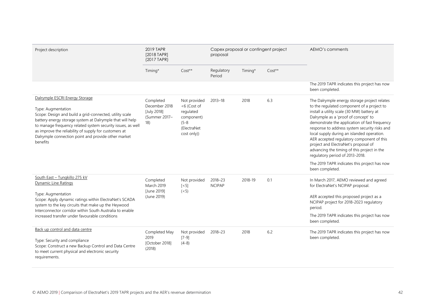| Project description                                                                                                                                                                                                                                                                                                                                                     | 2019 TAPR<br>[2018 TAPR]<br>(2017 TAPR)                           |                                                                                                 | Capex proposal or contingent project<br>proposal |         |          | AEMO's comments                                                                                                                                                                                                                                                                                                                                                                                                                                                                                                                                                            |
|-------------------------------------------------------------------------------------------------------------------------------------------------------------------------------------------------------------------------------------------------------------------------------------------------------------------------------------------------------------------------|-------------------------------------------------------------------|-------------------------------------------------------------------------------------------------|--------------------------------------------------|---------|----------|----------------------------------------------------------------------------------------------------------------------------------------------------------------------------------------------------------------------------------------------------------------------------------------------------------------------------------------------------------------------------------------------------------------------------------------------------------------------------------------------------------------------------------------------------------------------------|
|                                                                                                                                                                                                                                                                                                                                                                         | Timing*                                                           | $Cost**$                                                                                        | Regulatory<br>Period                             | Timing* | $Cost**$ |                                                                                                                                                                                                                                                                                                                                                                                                                                                                                                                                                                            |
|                                                                                                                                                                                                                                                                                                                                                                         |                                                                   |                                                                                                 |                                                  |         |          | The 2019 TAPR indicates this project has now<br>been completed.                                                                                                                                                                                                                                                                                                                                                                                                                                                                                                            |
| Dalrymple ESCRI Energy Storage<br>Type: Augmentation<br>Scope: Design and build a grid-connected, utility scale<br>battery energy storage system at Dalrymple that will help<br>to manage frequency related system security issues, as well<br>as improve the reliability of supply for customers at<br>Dalrymple connection point and provide other market<br>benefits | Completed<br>December 2018<br>[July 2018]<br>(Summer 2017-<br>18) | Not provided<br><6 (Cost of<br>regulated<br>component)<br>$(5-8)$<br>(ElectraNet<br>cost only)) | $2013 - 18$                                      | 2018    | 6.3      | The Dalrymple energy storage project relates<br>to the regulated component of a project to<br>install a utility scale (30 MW) battery at<br>Dalrymple as a 'proof of concept' to<br>demonstrate the application of fast frequency<br>response to address system security risks and<br>local supply during an islanded operation.<br>AER accepted regulatory component of this<br>project and ElectraNet's proposal of<br>advancing the timing of this project in the<br>regulatory period of 2013-2018.<br>The 2019 TAPR indicates this project has now<br>been completed. |
| South East - Tungkillo 275 kV<br><b>Dynamic Line Ratings</b><br>Type: Augmentation<br>Scope: Apply dynamic ratings within ElectraNet's SCADA<br>system to the key circuits that make up the Heywood<br>Interconnector corridor within South Australia to enable<br>increased transfer under favourable conditions                                                       | Completed<br>March 2019<br>[June 2019]<br>(June 2019)             | Not provided<br>$\lceil$ < 5]<br>(< 5)                                                          | 2018-23<br><b>NCIPAP</b>                         | 2018-19 | 0.1      | In March 2017, AEMO reviewed and agreed<br>for ElectraNet's NCIPAP proposal.<br>AER accepted this proposed project as a<br>NCIPAP project for 2018-2023 regulatory<br>period.<br>The 2019 TAPR indicates this project has now<br>been completed.                                                                                                                                                                                                                                                                                                                           |
| Back up control and data centre<br>Type: Security and compliance<br>Scope: Construct a new Backup Control and Data Centre<br>to meet current physical and electronic security<br>requirements.                                                                                                                                                                          | Completed May<br>2019<br>[October 2018]<br>(2018)                 | Not provided<br>$[7-9]$<br>$(4-8)$                                                              | 2018-23                                          | 2018    | 6.2      | The 2019 TAPR indicates this project has now<br>been completed.                                                                                                                                                                                                                                                                                                                                                                                                                                                                                                            |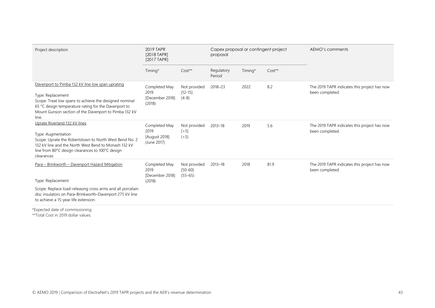| 2019 TAPR<br>[2018 TAPR]<br>(2017 TAPR)               |                                            | proposal             |         |          | AEMO's comments                                                 |
|-------------------------------------------------------|--------------------------------------------|----------------------|---------|----------|-----------------------------------------------------------------|
| Timing*                                               | $Cost**$                                   | Regulatory<br>Period | Timing* | $Cost**$ |                                                                 |
| Completed May<br>2019<br>[December 2018]<br>(2018)    | Not provided<br>$[12 - 15]$<br>$(4-8)$     | 2018-23              | 2022    | 8.2      | The 2019 TAPR indicates this project has now<br>been completed. |
| Completed May<br>2019<br>[August 2018]<br>(June 2017) | Not provided<br>$\lceil$ < 5]<br>(< 5)     | $2013 - 18$          | 2019    | 5.6      | The 2019 TAPR indicates this project has now<br>been completed. |
| Completed May<br>2019<br>[December 2018]<br>(2018)    | Not provided<br>$[50 - 60]$<br>$(55 - 65)$ | $2013 - 18$          | 2018    | 81.9     | The 2019 TAPR indicates this project has now<br>been completed. |
|                                                       |                                            |                      |         |          | Capex proposal or contingent project                            |

\*Expected date of commissioning.

\*\*Total Cost in 2019 dollar values.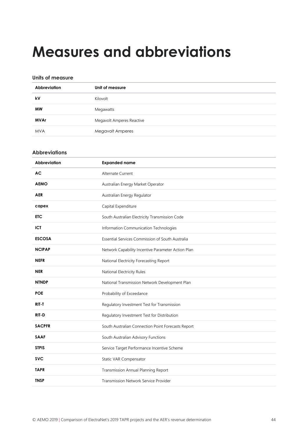# <span id="page-43-0"></span>**Measures and abbreviations**

#### **Units of measure**

| Abbreviation | Unit of measure           |
|--------------|---------------------------|
| kV           | Kilovolt                  |
| <b>MW</b>    | Megawatts                 |
| <b>MVAr</b>  | Megavolt Amperes Reactive |
| <b>MVA</b>   | Megavolt Amperes          |
|              |                           |

#### **Abbreviations**

| <b>Abbreviation</b> | <b>Expanded name</b>                               |
|---------------------|----------------------------------------------------|
| <b>AC</b>           | <b>Alternate Current</b>                           |
| <b>AEMO</b>         | Australian Energy Market Operator                  |
| <b>AER</b>          | Australian Energy Regulator                        |
| capex               | Capital Expenditure                                |
| <b>ETC</b>          | South Australian Electricity Transmission Code     |
| <b>ICT</b>          | Information Communication Technologies             |
| <b>ESCOSA</b>       | Essential Services Commission of South Australia   |
| <b>NCIPAP</b>       | Network Capability Incentive Parameter Action Plan |
| <b>NEFR</b>         | National Electricity Forecasting Report            |
| <b>NER</b>          | National Electricity Rules                         |
| <b>NTNDP</b>        | National Transmission Network Development Plan     |
| <b>POE</b>          | Probability of Exceedance                          |
| RIT-T               | Regulatory Investment Test for Transmission        |
| RIT-D               | Regulatory Investment Test for Distribution        |
| <b>SACPFR</b>       | South Australian Connection Point Forecasts Report |
| <b>SAAF</b>         | South Australian Advisory Functions                |
| <b>STPIS</b>        | Service Target Performance Incentive Scheme        |
| <b>SVC</b>          | Static VAR Compensator                             |
| <b>TAPR</b>         | Transmission Annual Planning Report                |
| <b>TNSP</b>         | Transmission Network Service Provider              |